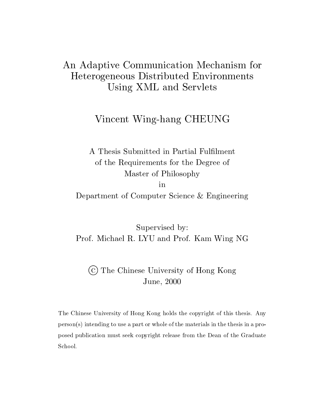# An Adaptive Communication Mechanism for Heterogeneous Distributed Environments Using XML and Servlets

# Vincent Wing-hang CHEUNG

A Thesis Submitted in Partial Fullment of the Requirements for the Degree of Master of Philosophy Department of Computer Science - Engineering

Supervised by Prof. Michael R. LYU and Prof. Kam Wing NG

## (c) The Chinese University of Hong Kong June, 2000

The Chinese University of Hong Kong holds the copyright of this thesis Any person-s intending to use a part or whole of the materials in the thesis in a pro posed publication must seek copyright release from the Dean of the Graduate School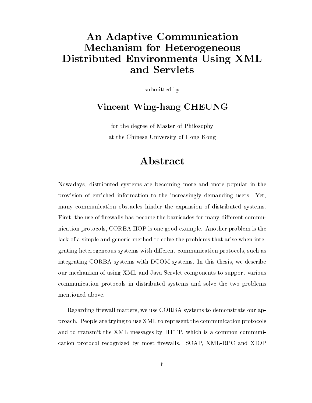# An Adaptive Communication Mechanism for Heterogeneous Distributed Environments Using XML and Servlets

submitted by

### Vincent Wing-hang CHEUNG

for the degree of Master of Philosophy at the Chinese University of Hong Kong

# Abstract

Nowadays distributed systems are becoming more and more popular in the provision of enriched information to the increasingly demanding users Yet many communication obstacles hinder the expansion of distributed systems First, the use of firewalls has become the barricades for many different communication protocols, CORBA IIOP is one good example. Another problem is the lack of a simple and generic method to solve the problems that arise when inte grating heterogeneous systems with different communication protocols, such as integrating CORBA systems with DCOM systems. In this thesis, we describe our mechanism of using XML and Java Servlet components to support various communication protocols in distributed systems and solve the two problems mentioned above.

Regarding firewall matters, we use CORBA systems to demonstrate our approach People are trying to use XML to represent the communication protocols and to transmit the XML messages by HTTP, which is a common communication protocol recognized by most firewalls. SOAP, XML-RPC and XIOP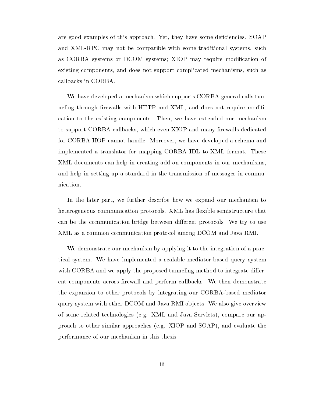are good examples of this approach. Yet, they have some deficiencies. SOAP and XML-RPC may not be compatible with some traditional systems, such as CORBA systems or DCOM systems; XIOP may require modification of existing components, and does not support complicated mechanisms, such as callbacks in CORBA

We have developed a mechanism which supports CORBA general calls tunneling through firewalls with HTTP and XML, and does not require modification to the existing components. Then, we have extended our mechanism to support CORBA callbacks, which even XIOP and many firewalls dedicated for CORBA IIOP cannot handle. Moreover, we have developed a schema and implemented a translator for mapping CORBA IDL to XML format. These XML documents can help in creating add-on components in our mechanisms, and help in setting up a standard in the transmission of messages in commu nication

In the later part, we further describe how we expand our mechanism to heterogeneous communication protocols. XML has flexible semistructure that can be the communication bridge between different protocols. We try to use XML as a common communication protocol among DCOM and Java RMI

We demonstrate our mechanism by applying it to the integration of a prac tical system. We have implemented a scalable mediator-based query system with CORBA and we apply the proposed tunneling method to integrate different components across firewall and perform callbacks. We then demonstrate the expansion to other protocols by integrating our CORBA-based mediator query system with other DCOM and Java RMI objects. We also give overview of some related technologies -eg XML and Java Servlets compare our ap proaches to other similar approaches (the solution of the SOAP), where the solution the solution of the solution of the solution of the solution of the solution of the solution of the solution of the solution of the soluti performance of our mechanism in this thesis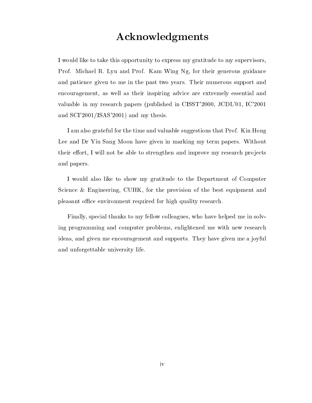# Acknowledgments

I would like to take this opportunity to express my gratitude to my supervisors Prof. Michael R. Lyu and Prof. Kam Wing Ng, for their generous guidance and patience given to me in the past two years Their numerous support and encouragement, as well as their inspiring advice are extremely essential and waluse in my research papers in members in CISST 2000, 2022 CH, 22 Papers 2022 and SCI 
ISAS 
 and my thesis

I am also grateful for the time and valuable suggestions that Prof. Kin Hong Lee and Dr Yiu Sang Moon have given in marking my term papers. Without their effort. I will not be able to strengthen and improve my research projects and papers

I would also like to show my gratitude to the Department of Computer Science & Engineering, CUHK, for the provision of the best equipment and pleasant office environment required for high quality research.

Finally, special thanks to my fellow colleagues, who have helped me in solving programming and computer problems, enlightened me with new research ideas, and given me encouragement and supports. They have given me a joyful and unforgettable university life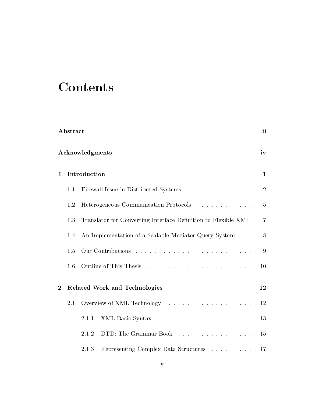# **Contents**

| Abstract       |                       |              | ii                                                             |                |  |
|----------------|-----------------------|--------------|----------------------------------------------------------------|----------------|--|
|                | Acknowledgments<br>iv |              |                                                                |                |  |
| $\mathbf{1}$   |                       | Introduction |                                                                | 1              |  |
|                | 1.1                   |              | Firewall Issue in Distributed Systems                          | $\overline{2}$ |  |
|                | 1.2                   |              | Heterogeneous Communication Protocols                          | 5              |  |
|                | 1.3                   |              | Translator for Converting Interface Definition to Flexible XML | $\overline{7}$ |  |
|                | 1.4                   |              | An Implementation of a Scalable Mediator Query System          | 8              |  |
|                | 1.5                   |              |                                                                | 9              |  |
|                | 1.6                   |              |                                                                | 10             |  |
| $\overline{2}$ |                       |              | <b>Related Work and Technologies</b>                           | 12             |  |
|                | $2.1\,$               |              |                                                                | 12             |  |
|                |                       | 2.1.1        |                                                                | 13             |  |
|                |                       | 2.1.2        | DTD: The Grammar Book                                          | 15             |  |
|                |                       | 2.1.3        | Representing Complex Data Structures                           | 17             |  |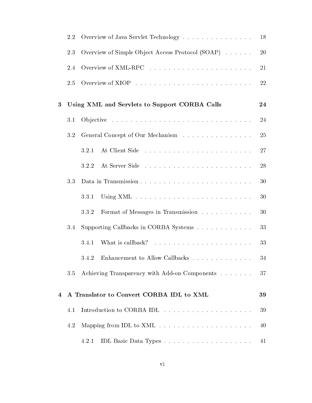|   | 2.2 | Overview of Java Servlet Technology                                 | 18        |
|---|-----|---------------------------------------------------------------------|-----------|
|   | 2.3 | Overview of Simple Object Access Protocol (SOAP)                    | <b>20</b> |
|   | 2.4 |                                                                     | 21        |
|   | 2.5 |                                                                     | 22        |
| 3 |     | Using XML and Servlets to Support CORBA Calls                       | 24        |
|   | 3.1 |                                                                     | 24        |
|   | 3.2 | General Concept of Our Mechanism                                    | 25        |
|   |     | 3.2.1                                                               | 27        |
|   |     | 3.2.2                                                               | 28        |
|   | 3.3 |                                                                     | 30        |
|   |     | 3.3.1                                                               | 30        |
|   |     | 3.3.2<br>Format of Messages in Transmission                         | 30        |
|   | 3.4 | Supporting Callbacks in CORBA Systems                               | 33        |
|   |     | 3.4.1                                                               | 33        |
|   |     | 3.4.2                                                               | 34        |
|   | 3.5 | Achieving Transparency with Add-on Components                       | 37        |
| 4 |     | A Translator to Convert CORBA IDL to XML                            | 39        |
|   | 4.1 |                                                                     | 39        |
|   | 4.2 | Mapping from IDL to $XML \dots \dots \dots \dots \dots \dots \dots$ | 40        |
|   |     | 4.2.1                                                               | 41        |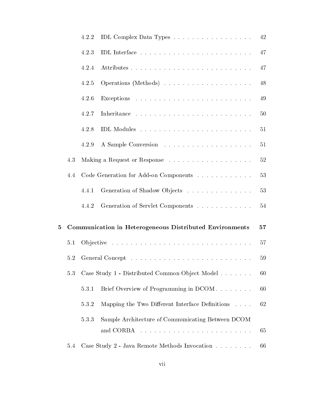|   |     | 4.2.2 | IDL Complex Data Types                                                                                                                                                                | 42 |
|---|-----|-------|---------------------------------------------------------------------------------------------------------------------------------------------------------------------------------------|----|
|   |     | 4.2.3 |                                                                                                                                                                                       | 47 |
|   |     | 4.2.4 |                                                                                                                                                                                       | 47 |
|   |     | 4.2.5 |                                                                                                                                                                                       | 48 |
|   |     | 4.2.6 |                                                                                                                                                                                       | 49 |
|   |     | 4.2.7 |                                                                                                                                                                                       | 50 |
|   |     | 4.2.8 |                                                                                                                                                                                       | 51 |
|   |     | 4.2.9 |                                                                                                                                                                                       | 51 |
|   | 4.3 |       |                                                                                                                                                                                       | 52 |
|   | 4.4 |       | Code Generation for Add-on Components                                                                                                                                                 | 53 |
|   |     | 4.4.1 | Generation of Shadow Objects                                                                                                                                                          | 53 |
|   |     | 4.4.2 | Generation of Servlet Components                                                                                                                                                      | 54 |
| 5 |     |       | Communication in Heterogeneous Distributed Environments                                                                                                                               | 57 |
|   | 5.1 |       |                                                                                                                                                                                       | 57 |
|   | 5.2 |       |                                                                                                                                                                                       | 59 |
|   | 5.3 |       | Case Study 1 - Distributed Common Object Model                                                                                                                                        | 60 |
|   |     | 5.3.1 | Brief Overview of Programming in DCOM                                                                                                                                                 | 60 |
|   |     | 5.3.2 | Mapping the Two Different Interface Definitions                                                                                                                                       | 62 |
|   |     | 5.3.3 | Sample Architecture of Communicating Between DCOM<br>.<br>In the company of the company of the company of the company of the company of the company of the company of th<br>and CORBA | 65 |
|   | 5.4 |       | Case Study 2 - Java Remote Methods Invocation                                                                                                                                         | 66 |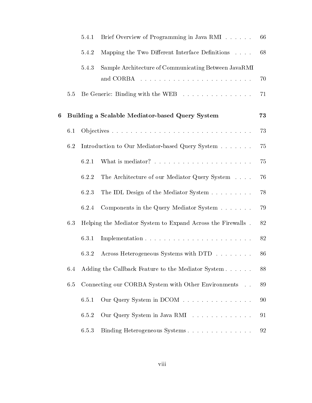|   |         | 5.4.1 | Brief Overview of Programming in Java RMI                   | 66 |
|---|---------|-------|-------------------------------------------------------------|----|
|   |         | 5.4.2 | Mapping the Two Different Interface Definitions             | 68 |
|   |         | 5.4.3 | Sample Architecture of Communicating Between JavaRMI        |    |
|   |         |       |                                                             | 70 |
|   | $5.5\,$ |       | Be Generic: Binding with the WEB                            | 71 |
| 6 |         |       | Building a Scalable Mediator-based Query System             | 73 |
|   | 6.1     |       |                                                             | 73 |
|   | 6.2     |       | Introduction to Our Mediator-based Query System             | 75 |
|   |         | 6.2.1 |                                                             | 75 |
|   |         | 6.2.2 | The Architecture of our Mediator Query System               | 76 |
|   |         | 6.2.3 | The IDL Design of the Mediator System                       | 78 |
|   |         | 6.2.4 | Components in the Query Mediator System                     | 79 |
|   | 6.3     |       | Helping the Mediator System to Expand Across the Firewalls. | 82 |
|   |         | 6.3.1 |                                                             | 82 |
|   |         | 6.3.2 | Across Heterogeneous Systems with DTD                       | 86 |
|   | 6.4     |       | Adding the Callback Feature to the Mediator System          | 88 |
|   | 6.5     |       | Connecting our CORBA System with Other Environments         | 89 |
|   |         | 6.5.1 | Our Query System in DCOM                                    | 90 |
|   |         | 6.5.2 | Our Query System in Java RMI                                | 91 |
|   |         | 6.5.3 | Binding Heterogeneous Systems                               | 92 |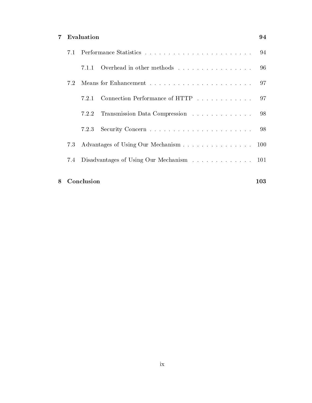### 7 Evaluation 94

|     | 711   | Overhead in other methods                | -96        |
|-----|-------|------------------------------------------|------------|
| 7.2 |       |                                          | .97        |
|     | 7.2.1 | Connection Performance of HTTP 97        |            |
|     | 7.2.2 | Transmission Data Compression            | -98        |
|     | 7.2.3 |                                          | -98        |
| 7.3 |       | Advantages of Using Our Mechanism        | <b>100</b> |
| 7.4 |       | Disadvantages of Using Our Mechanism 101 |            |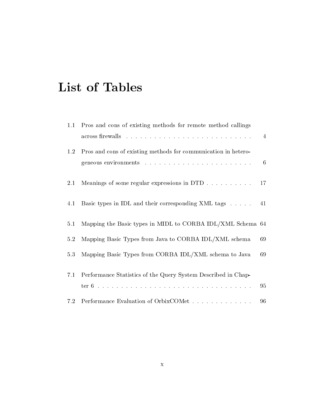# List of Tables

| 1.1 | Pros and cons of existing methods for remote method callings   |    |
|-----|----------------------------------------------------------------|----|
|     |                                                                | 4  |
| 1.2 | Pros and cons of existing methods for communication in hetero- |    |
|     |                                                                | 6  |
| 2.1 | Meanings of some regular expressions in DTD                    | 17 |
| 4.1 | Basic types in IDL and their corresponding XML tags            | 41 |
| 5.1 | Mapping the Basic types in MIDL to CORBA IDL/XML Schema 64     |    |
| 5.2 | Mapping Basic Types from Java to CORBA IDL/XML schema          | 69 |
| 5.3 | Mapping Basic Types from CORBA IDL/XML schema to Java          | 69 |
| 7.1 | Performance Statistics of the Query System Described in Chap-  |    |
|     |                                                                | 95 |
| 7.2 | Performance Evaluation of OrbixCOMet                           | 96 |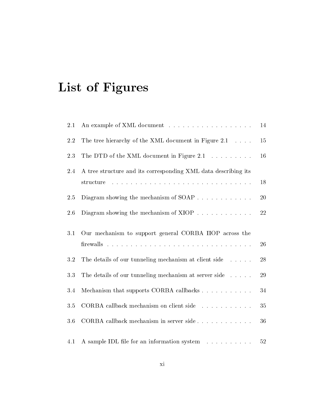# List of Figures

| 2.1     | An example of XML document                                       | $14\,$    |
|---------|------------------------------------------------------------------|-----------|
| 2.2     | The tree hierarchy of the XML document in Figure 2.1             | 15        |
| 2.3     | The DTD of the XML document in Figure 2.1 $\ldots \ldots \ldots$ | 16        |
| $2.4\,$ | A tree structure and its corresponding XML data describing its   |           |
|         | structure                                                        | 18        |
| 2.5     | Diagram showing the mechanism of $SORP$                          | <b>20</b> |
| $2.6\,$ | Diagram showing the mechanism of $XIOP$                          | 22        |
| 3.1     | Our mechanism to support general CORBA IIOP across the           |           |
|         |                                                                  | 26        |
| 3.2     | The details of our tunneling mechanism at client side            | 28        |
| 3.3     | The details of our tunneling mechanism at server side            | 29        |
| 3.4     | Mechanism that supports CORBA callbacks                          | 34        |
| $3.5\,$ | CORBA callback mechanism on client side                          | 35        |
| 3.6     | CORBA callback mechanism in server side                          | 36        |
| 4.1     | A sample IDL file for an information system                      | $52\,$    |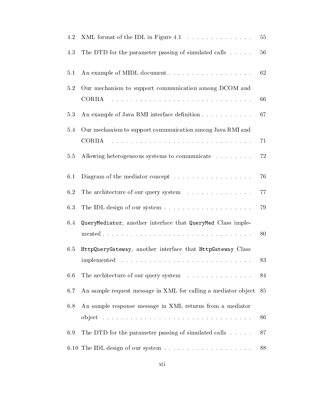| 4.2 |                                                                                                                                      | 55 |
|-----|--------------------------------------------------------------------------------------------------------------------------------------|----|
| 4.3 | The DTD for the parameter passing of simulated calls                                                                                 | 56 |
| 5.1 |                                                                                                                                      | 62 |
| 5.2 | Our mechanism to support communication among DCOM and                                                                                |    |
|     | <b>CORBA</b>                                                                                                                         | 66 |
| 5.3 | An example of Java RMI interface definition                                                                                          | 67 |
| 5.4 | Our mechanism to support communication among Java RMI and                                                                            |    |
|     | .<br>The contract of the contract of the contract of the contract of the contract of the contract of the contract of<br><b>CORBA</b> | 71 |
| 5.5 | Allowing heterogeneous systems to communicate                                                                                        | 72 |
| 6.1 | Diagram of the mediator concept $\dots \dots \dots \dots \dots \dots$                                                                | 76 |
| 6.2 | The architecture of our query system                                                                                                 | 77 |
| 6.3 |                                                                                                                                      | 79 |
| 6.4 | QueryMediator, another interface that QueryMed Class imple-                                                                          |    |
|     |                                                                                                                                      | 80 |
| 6.5 | HttpQueryGateway, another interface that HttpGateway Class                                                                           |    |
|     |                                                                                                                                      | 83 |
| 6.6 | The architecture of our query system                                                                                                 | 84 |
| 6.7 | An sample request message in XML for calling a mediator object                                                                       | 85 |
| 6.8 | An sample response message in XML returns from a mediator                                                                            |    |
|     |                                                                                                                                      | 86 |
| 6.9 | The DTD for the parameter passing of simulated calls                                                                                 | 87 |
|     |                                                                                                                                      | 88 |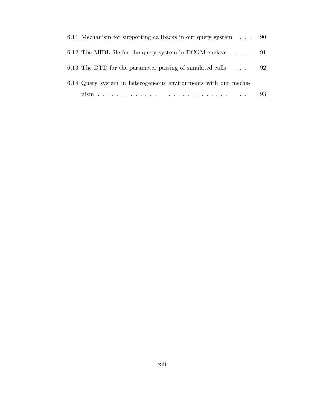| 6.11 Mechanism for supporting callbacks in our query system 90  |  |
|-----------------------------------------------------------------|--|
| 6.12 The MIDL file for the query system in DCOM enclave 91      |  |
| 6.13 The DTD for the parameter passing of simulated calls 92    |  |
| 6.14 Query system in heterogeneous environments with our mecha- |  |
|                                                                 |  |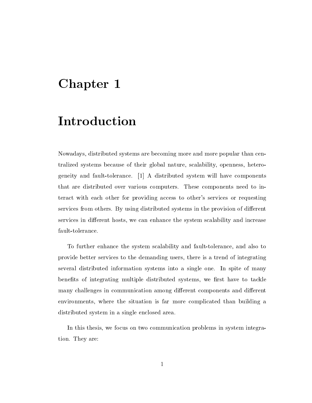# Chapter 1

# Introduction

Nowadays distributed systems are becoming more and more popular than cen tralized systems because of their global nature, scalability, openness, heterogeneity and fault-tolerance.  $\begin{bmatrix} 1 \end{bmatrix}$  A distributed system will have components that are distributed over various computers. These components need to interact with each other for providing access to other s services or requesting services from others. By using distributed systems in the provision of different services in different hosts, we can enhance the system scalability and increase fault-tolerance.

To further enhance the system scalability and fault-tolerance, and also to provide better services to the demanding users, there is a trend of integrating several distributed information systems into a single one In spite of many benefits of integrating multiple distributed systems, we first have to tackle many challenges in communication among different components and different environments, where the situation is far more complicated than building a distributed system in a single enclosed area

In this thesis we focus on two communication problems in system integra tion. They are: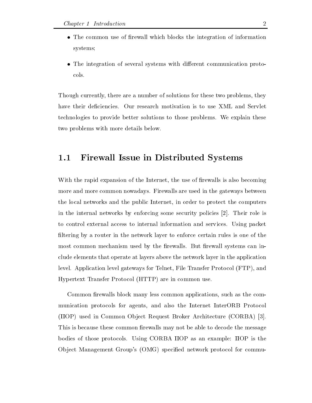- $\bullet$  The common use of firewall which blocks the integration of information  $\bullet$ systems
- $\bullet$  The integration of several systems with different communication protocols

Though currently, there are a number of solutions for these two problems, they have their deficiencies. Our research motivation is to use XML and Servlet technologies to provide better solutions to those problems. We explain these two problems with more details below

### Firewall Issue in Distributed Systems

With the rapid expansion of the Internet, the use of firewalls is also becoming more and more common nowadays Firewalls are used in the gateways between the local networks and the public Internet, in order to protect the computers in the internal networks by enforcing some security policies  $[2]$ . Their role is to control external access to internal information and services Using packet filtering by a router in the network layer to enforce certain rules is one of the most common mechanism used by the firewalls. But firewall systems can include elements that operate at layers above the network layer in the application level Application level gateways for Telnet File Transfer Protocol -FTP and Hypertext Transfer Protocol -HTTP are in common use

Common firewalls block many less common applications, such as the communication protocols for agents, and also the Internet InterORB Protocol -IIOP used in Common Ob ject Request Broker Architecture -CORBA This is because these common firewalls may not be able to decode the message bodies of those protocols Using CORBA IIOP as an example IIOP is the Ob ject Management Group s -OMG specied network protocol for commu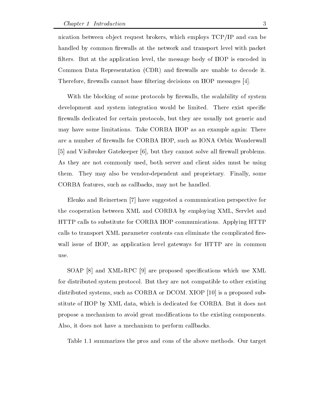nication between object request brokers, which employs  $TCP/IP$  and can be handled by common firewalls at the network and transport level with packet filters. But at the application level, the message body of IIOP is encoded in Common Data Representation - CDR at the common and rewalls are unable to decode it. Therefore, firewalls cannot base filtering decisions on IIOP messages  $[4]$ .

With the blocking of some protocols by firewalls, the scalability of system development and system integration would be limited. There exist specific firewalls dedicated for certain protocols, but they are usually not generic and may have some limitations. Take CORBA IIOP as an example again: There are a number of firewalls for CORBA IIOP, such as IONA Orbix Wonderwall  $\lbrack 5\rbrack$  and Visibroker Gatekeeper  $\lbrack 6\rbrack$ , but they cannot solve all firewall problems. As they are not commonly used, both server and client sides must be using them. They may also be vendor-dependent and proprietary. Finally, some CORBA features, such as callbacks, may not be handled.

Elenko and Reinertsen [7] have suggested a communication perspective for the cooperation between XML and CORBA by employing XML, Servlet and HTTP calls to substitute for CORBA IIOP communications Applying HTTP calls to transport XML parameter contents can eliminate the complicated firewall issue of IIOP, as application level gateways for HTTP are in common

SOAP  $[8]$  and XML-RPC  $[9]$  are proposed specifications which use XML for distributed system protocol. But they are not compatible to other existing distributed systems, such as CORBA or DCOM. XIOP  $[10]$  is a proposed substitute of IIOP by XML data, which is dedicated for CORBA. But it does not propose a mechanism to avoid great modifications to the existing components. Also, it does not have a mechanism to perform callbacks.

Table 1.1 summarizes the pros and cons of the above methods. Our target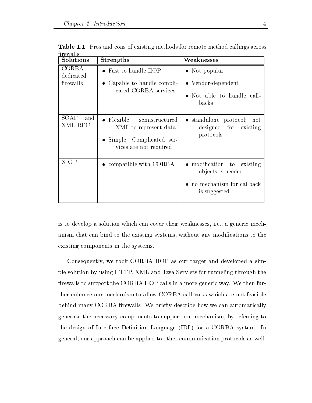| mrewans<br>Solutions                   | <b>Strengths</b>                                                                                                    | Weaknesses                                                                                     |
|----------------------------------------|---------------------------------------------------------------------------------------------------------------------|------------------------------------------------------------------------------------------------|
| <b>CORBA</b><br>dedicated<br>firewalls | • Fast to handle IIOP<br>• Capable to handle compli-<br>cated CORBA services                                        | $\bullet$ Not popular<br>$\bullet$ Vendor-dependent<br>• Not able to handle call-<br>backs     |
| SOAP<br>and<br>XML-RPC                 | $\bullet$ Flexible<br>semistructured<br>XML to represent data<br>Simple; Complicated ser-<br>vices are not required | • standalone protocol; not<br>designed for existing<br>protocols                               |
| XIOP                                   | $\bullet$ compatible with CORBA                                                                                     | • modification to existing<br>objects is needed<br>• no mechanism for callback<br>is suggested |

**Table 1.1**: Pros and cons of existing methods for remote method callings across

is to develop a solution which can cover their weaknesses, i.e., a generic mechanism that can bind to the existing systems, without any modifications to the existing components in the systems

Consequently, we took CORBA IIOP as our target and developed a simple solution by using HTTP, XML and Java Servlets for tunneling through the firewalls to support the CORBA IIOP calls in a more generic way. We then further enhance our mechanism to allow CORBA callbacks which are not feasible behind many CORBA firewalls. We briefly describe how we can automatically generate the necessary components to support our mechanism, by referring to the design of Interface Denition Language -IDL for a CORBA system In general, our approach can be applied to other communication protocols as well.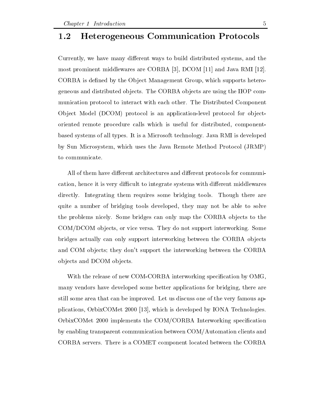#### Heterogeneous Communication Protocols  $1.2$

Currently, we have many different ways to build distributed systems, and the most prominent middlewares are CORBA [3], DCOM [11] and Java RMI [12]. CORBA is defined by the Object Management Group, which supports heterogeneous and distributed objects. The CORBA objects are using the IIOP communication protocol to interact with each other The Distributed Component Ob ject Model -DCOM protocol is an applicationlevel protocol for ob ject oriented remote procedure calls which is useful for distributed, componentbased systems of all types It is a Microsoft technology Java RMI is developed by Sun Microsoft which uses the Sun Method Protocol - International - Andreal Protocol - International Protocol to communicate

All of them have different architectures and different protocols for communication, hence it is very difficult to integrate systems with different middlewares directly. Integrating them requires some bridging tools. Though there are quite a number of bridging tools developed, they may not be able to solve the problems nicely. Some bridges can only map the CORBA objects to the COM/DCOM objects, or vice versa. They do not support interworking. Some bridges actually can only support interworking between the CORBA objects and COM ob jects they don t support the interworking between the CORBA objects and DCOM objects.

With the release of new COM-CORBA interworking specification by OMG, many vendors have developed some better applications for bridging there are still some area that can be improved. Let us discuss one of the very famous applications, OrbixCOMet  $2000$  [13], which is developed by IONA Technologies. OrbixCOMet 2000 implements the COM/CORBA Interworking specification by enabling transparent communication between COM/Automation clients and CORBA servers There is a COMET component located between the CORBA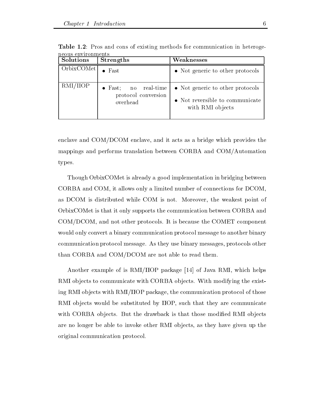| ucous cuvirominents<br><b>Solutions</b> | <b>Strengths</b>                                                | Weaknesses                                                                              |
|-----------------------------------------|-----------------------------------------------------------------|-----------------------------------------------------------------------------------------|
| OrbixCOMet                              | $\bullet$ Fast                                                  | • Not generic to other protocols                                                        |
| RMI/IIOP                                | $\bullet$ Fast; no real-time<br>protocol conversion<br>overhead | • Not generic to other protocols<br>• Not reversible to communicate<br>with RMI objects |

Table - Pros and cons of existing methods for communication in heteroge neous environments

enclave and COM/DCOM enclave, and it acts as a bridge which provides the mappings and performs translation between CORBA and COM/Automation types

Though OrbixCOMet is already a good implementation in bridging between CORBA and COM, it allows only a limited number of connections for DCOM, as DCOM is distributed while COM is not. Moreover, the weakest point of OrbixCOMet is that it only supports the communication between CORBA and COM/DCOM, and not other protocols. It is because the COMET component would only convert a binary communication protocol message to another binary communication protocol message As they use binary messages protocols other than CORBA and COM/DCOM are not able to read them.

Another example of is RMI/IIOP package  $[14]$  of Java RMI, which helps RMI objects to communicate with CORBA objects. With modifying the existing RMI objects with RMI/IIOP package, the communication protocol of those RMI objects would be substituted by IIOP, such that they are communicate with CORBA objects. But the drawback is that those modified RMI objects are no longer be able to invoke other RMI objects, as they have given up the original communication protocol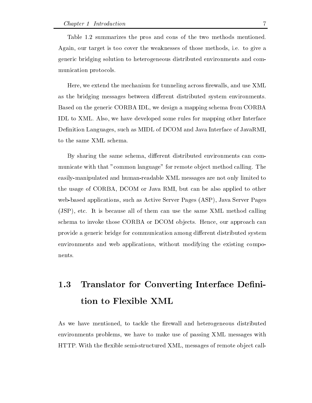Table 1.2 summarizes the pros and cons of the two methods mentioned. Again, our target is too cover the weaknesses of those methods, i.e. to give a generic bridging solution to heterogeneous distributed environments and com munication protocols

Here, we extend the mechanism for tunneling across firewalls, and use XML as the bridging messages between different distributed system environments. Based on the generic CORBA IDL we design a mapping schema from CORBA IDL to XML. Also, we have developed some rules for mapping other Interface Definition Languages, such as MIDL of DCOM and Java Interface of JavaRMI, to the same XML schema

By sharing the same schema, different distributed environments can communicate with that "common language" for remote object method calling. The easily-manipulated and human-readable XML messages are not only limited to the usage of CORBA, DCOM or Java RMI, but can be also applied to other websed as applications such as Active Server Pages - Server Pages - Server Pages - Server Pages - Server Pages -JSP etc It is because all of them can use the same XML method calling schema to invoke those CORBA or DCOM objects. Hence, our approach can provide a generic bridge for communication among different distributed system environments and web applications, without modifying the existing compo-

### 1.3 Translator for Converting Interface Definition to Flexible XML

As we have mentioned, to tackle the firewall and heterogeneous distributed environments problems, we have to make use of passing XML messages with HTTP. With the flexible semi-structured XML, messages of remote object call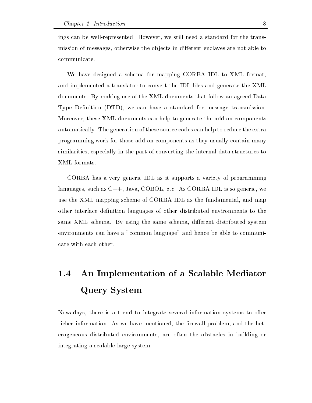ings can be well-represented. However, we still need a standard for the transmission of messages, otherwise the objects in different enclaves are not able to mission of messages otherwise the ob jects in dierent enclaves are not able to communicate

We have designed a schema for mapping CORBA IDL to XML format and implemented a translator to convert the IDL files and generate the XML documents By making use of the XML documents that follow an agreed Data Type Denition -DTD we can have a standard for message transmission Moreover, these XML documents can help to generate the add-on components automatically The generation of these source codes can help to reduce the extra programming work for those add-on components as they usually contain many similarities, especially in the part of converting the internal data structures to XML formats

CORBA has a very generic IDL as it supports a variety of programming languages, such as  $C_{++}$ , Java, COBOL, etc. As CORBA IDL is so generic, we use the XML mapping scheme of CORBA IDL as the fundamental and map other interface definition languages of other distributed environments to the same XML schema. By using the same schema, different distributed system environments can have a "common language" and hence be able to communicate with each other

### $1.4$  An Implementation of a Scalable Mediator Query System

Nowadays, there is a trend to integrate several information systems to offer richer information. As we have mentioned, the firewall problem, and the heterogeneous distributed environments, are often the obstacles in building or integrating a scalable large system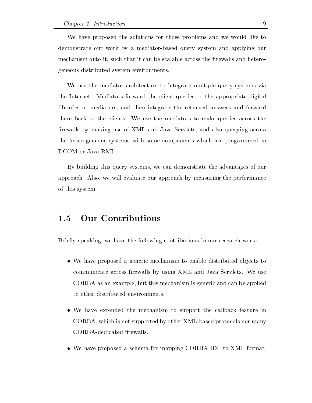We have proposed the solutions for those problems and we would like to demonstrate our work by a mediator-based query system and applying our mechanism onto it, such that it can be scalable across the firewalls and heterogeneous distributed system environments

We use the mediator architecture to integrate multiple query systems via the Internet. Mediators forward the client queries to the appropriate digital libraries or mediators, and then integrate the returned answers and forward them back to the clients. We use the mediators to make queries across the firewalls by making use of XML and Java Servlets, and also querying across the heterogeneous systems with some components which are programmed in DCOM or Java RMI

By building this query systems we can demonstrate the advantages of our approach. Also, we will evaluate our approach by measuring the performance of this system

#### Our Contributions  $1.5$

Briefly speaking, we have the following contributions in our research work:

- $\bullet\,$  we have proposed a generic mechanism to enable distributed objects to  $\,$ communicate across firewalls by using XML and Java Servlets. We use CORBA as an example, but this mechanism is generic and can be applied to other distributed environments
- We have extended the mechanism to support the callback feature in CORBA, which is not supported by other XML-based protocols nor many CORBA-dedicated firewalls.
- $\bullet\,$  We have proposed a schema for mapping CORBA IDL to XML format.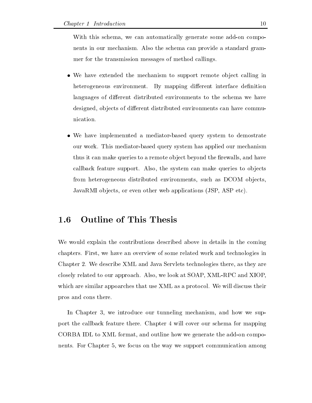With this schema, we can automatically generate some add-on components in our mechanism. Also the schema can provide a standard grammer for the transmission messages of method callings

- $\bullet$  We have extended the mechanism to support remote object calling in  $\bullet$ heterogeneous environment. By mapping different interface definition languages of different distributed environments to the schema we have designed, objects of different distributed environments can have communication
- $\bullet$  We have implemennted a mediator-based query system to demostrate our work. This mediator-based query system has applied our mechanism thus it can make queries to a remote object beyond the firewalls, and have callback feature support. Also, the system can make queries to objects from heterogeneous distributed environments, such as DCOM objects, JavaRMI ob jects or even other web applications -JSP ASP etc

#### **Outline of This Thesis** 1.6

We would explain the contributions described above in details in the coming chapters. First, we have an overview of some related work and technologies in Chapter 2. We describe XML and Java Servlets technologies there, as they are closely related to our approach. Also, we look at SOAP, XML-RPC and XIOP, which are similar appoarches that use XML as a protocol. We will discuss their pros and cons there

In Chapter 3, we introduce our tunneling mechanism, and how we support the callback feature there Chapter will cover our schema for mapping CORBA IDL to XML format, and outline how we generate the add-on components. For Chapter 5, we focus on the way we support communication among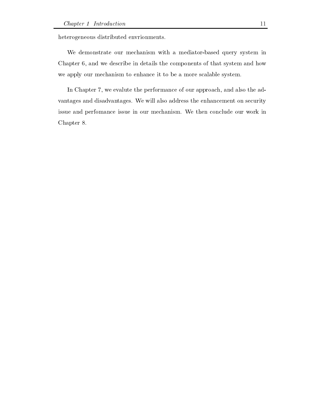heterogeneous distributed envrionments

We demonstrate our mechanism with a mediator-based query system in Chapter 6, and we describe in details the components of that system and how we apply our mechanism to enhance it to be a more scalable system

In Chapter 7, we evalute the performance of our approach, and also the advantages and disadvantages We will also address the enhancement on security issue and perfomance issue in our mechanism. We then conclude our work in Chapter 8.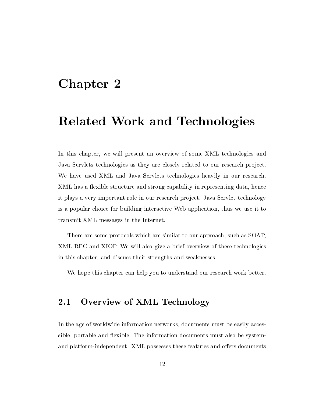# $Chapter 2$

# Related Work and Technologies

In this chapter, we will present an overview of some XML technologies and Java Servlets technologies as they are closely related to our research project. We have used XML and Java Servlets technologies heavily in our research. XML has a flexible structure and strong capability in representing data, hence it plays a very important role in our research project. Java Servlet technology is a popular choice for building interactive Web application thus we use it to transmit XML messages in the Internet

There are some protocols which are similar to our approach, such as SOAP, XML-RPC and XIOP. We will also give a brief overview of these technologies in this chapter, and discuss their strengths and weaknesses.

We hope this chapter can help you to understand our research work better.

### Overview of XML Technology

In the age of worldwide information networks, documents must be easily accessible, portable and flexible. The information documents must also be systemand platform-independent. XML possesses these features and offers documents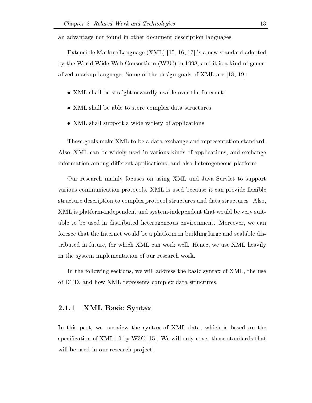an advantage not found in other document description languages

Extensible Markup Language -XML 

is a new standard adopted  $\sim$  , the Wide Wide Wide Constraints (1986) and it is a kind of and it  $\sim$   $\sim$   $\sim$ alized markup language. Some of the design goals of XML are  $[18, 19]$ :

- $\bullet$   $\,$   $\Delta$ ML shall be straightforwardly usable over the Internet;
- $\bullet$  XML shall be able to store complex data structures.
- $\bullet$  XML shall support a wide variety of applications

These goals make XML to be a data exchange and representation standard Also, XML can be widely used in various kinds of applications, and exchange information among different applications, and also heterogeneous platform.

Our research mainly focuses on using XML and Java Servlet to support various communication protocols. XML is used because it can provide flexible structure description to complex protocol structures and data structures. Also, XML is platform-independent and system-independent that would be very suitable to be used in distributed heterogeneous environment. Moreover, we can foresee that the Internet would be a platform in building large and scalable dis tributed in future, for which XML can work well. Hence, we use XML heavily in the system implementation of our research work

In the following sections, we will address the basic syntax of XML, the use of DTD, and how XML represents complex data structures.

#### XML Basic Syntax

In this part, we overview the syntax of XML data, which is based on the specification of XML1.0 by W3C [15]. We will only cover those standards that will be used in our research project.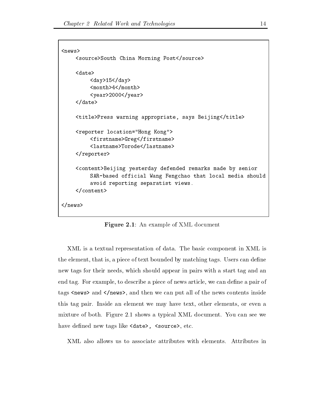```
news-
     source-source-morning postsource-
     <date>
           day-
day-
           month-
month-
           year-band and a set of the set of the set of the set of the set of the set of the set of the set of the set of
     . . . . . .
     title- press ward appropriately any controller press to
     reporter location
Hong Kong-
           firstname-
Gregfirstname-
           <lastname>Torode</lastname>
                       Torodelastname-
     \langlereporter>
     content-
Beijing yesterday defended remarks made by senior
           SAR-based official Wang Fengchao that local media should
           avoid reporting separatist views

     \langle content>
\langle/news>
```
Figure - An example of XML document

XML is a textual representation of data The basic component in XML is the element, that is, a piece of text bounded by matching tags. Users can define new tags for their needs, which should appear in pairs with a start tag and an end tag. For example, to describe a piece of news article, we can define a pair of  $\mathbf{r}$ this tag pair. Inside an element we may have text, other elements, or even a mixture of both. Figure 2.1 shows a typical XML document. You can see we have denoted by the source-density of the source-

XML also allows us to associate attributes with elements Attributes in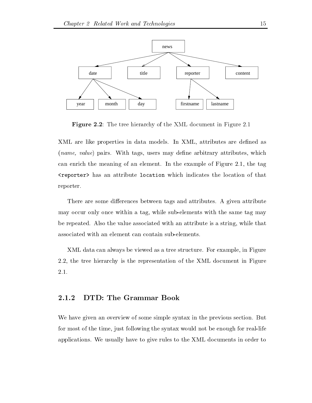

Figure -- The tree hierarchy of the XML document in Figure

XML are like properties in data models. In XML, attributes are defined as -name value pairs With tags users may dene arbitrary attributes which can enrich the meaning of an element. In the example of Figure  $2.1$ , the tag reporter-and and attribute location which indicates the location of the location of the location of the locatio reporter

There are some differences between tags and attributes. A given attribute may occur only once within a tag, while sub-elements with the same tag may be repeated. Also the value associated with an attribute is a string, while that associated with an element can contain subelements

XML data can always be viewed as a tree structure. For example, in Figure 2.2, the tree hierarchy is the representation of the XML document in Figure 2.1.

### DTD: The Grammar Book

We have given an overview of some simple syntax in the previous section. But for most of the time, just following the syntax would not be enough for real-life applications We usually have to give rules to the XML documents in order to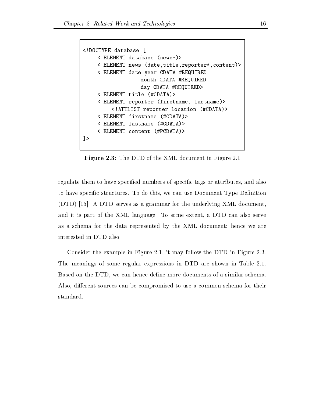```
<!DOCTYPE database [
     \leq! ELEMENT database (news*)<! ELEMENT news (date, title, reporter*, content)>
     <! ELEMENT date year CDATA #REQUIRED
                     month CDATA #REQUIRED
                     day CDATA #REQUIRED>
     \leq! ELEMENT title (\texttt{\#CDATA}><!ELEMENT reporter (firstname, lastname)>
          <!ATTLIST reporter location (#CDATA)>
     \leq! ELEMENT firstname (\text{\#CDATA})>
     \leq! ELEMENT lastname (HCDATA)<! ELEMENT content (#PCDATA)>
\exists
```
 $\blacksquare$  The DTD of the  $\blacksquare$ 

regulate them to have specified numbers of specific tags or attributes, and also to have specific structures. To do this, we can use Document Type Definition -DTD A DTD serves as a grammar for the underlying XML document and it is part of the XML language. To some extent, a DTD can also serve as a schema for the data represented by the XML document; hence we are interested in DTD also

Consider the example in Figure 2.1, it may follow the DTD in Figure 2.3. The meanings of some regular expressions in DTD are shown in Table 2.1. Based on the DTD, we can hence define more documents of a similar schema. Also, different sources can be compromised to use a common schema for their standard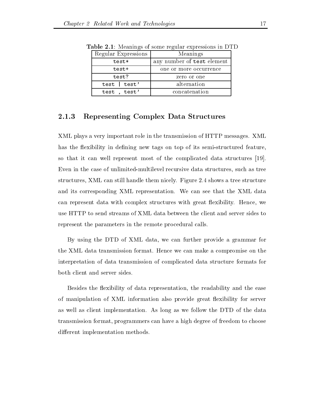| Regular Expressions | Meanings                   |
|---------------------|----------------------------|
| test*               | any number of test element |
| test+               | one or more occurrence     |
| test?               | zero or one                |
| test   test'        | alternation                |
| test, test'         | concatenation              |

Table - Meanings of some regular expressions in DTD

#### Representing Complex Data Structures 2.1.3

XML plays a very important role in the transmission of HTTP messages XML has the flexibility in defining new tags on top of its semi-structured feature, so that it can well represent most of the complicated data structures [19]. Even in the case of unlimited-multilevel recursive data structures, such as tree structures, XML can still handle them nicely. Figure 2.4 shows a tree structure and its corresponding XML representation We can see that the XML data can represent data with complex structures with great flexibility. Hence, we use HTTP to send streams of XML data between the client and server sides to represent the parameters in the remote procedural calls

By using the DTD of XML data, we can further provide a grammar for the XML data transmission format. Hence we can make a compromise on the interpretation of data transmission of complicated data structure formats for both client and server sides

Besides the flexibility of data representation, the readability and the ease of manipulation of XML information also provide great flexibility for server as well as client implementation As long as we follow the DTD of the data transmission format, programmers can have a high degree of freedom to choose different implementation methods.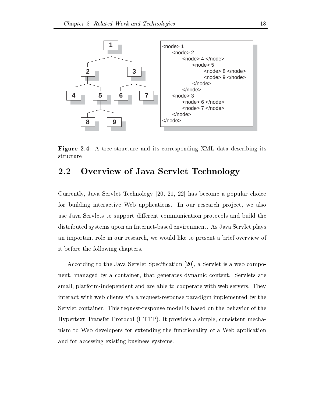

Figure - A tree structure and its corresponding XML data describing its structure

#### Overview of Java Servlet Technology  $2.2$

Currently, Java Servlet Technology  $[20, 21, 22]$  has become a popular choice for building interactive Web applications. In our research project, we also use Java Servlets to support different communication protocols and build the distributed systems upon an Internet-based environment. As Java Servlet plays an important role in our research we would like to present a brief overview of it before the following chapters

According to the Java Servlet Specification  $[20]$ , a Servlet is a web component, managed by a container, that generates dynamic content. Servlets are small, platform-independent and are able to cooperate with web servers. They interact with web clients via a request-response paradigm implemented by the Servlet container. This request-response model is based on the behavior of the Hypertext Transfer Protocol -HTTP It provides a simple consistent mecha nism to Web developers for extending the functionality of a Web application and for accessing existing business systems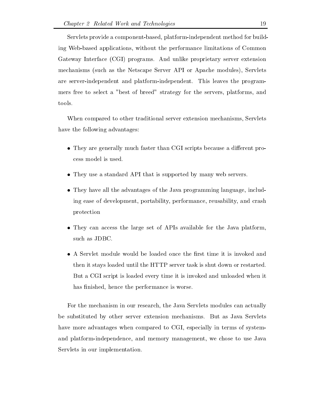Servlets provide a component-based, platform-independent method for building Web-based applications, without the performance limitations of Common Gateway Interface - (CGI programs And under proprietary server extensions) server the contractions mechanisms - (such as the Netscape Service Service Services Services Services), Netscape Service are server-independent and platform-independent. This leaves the programmers free to select a "best of breed" strategy for the servers, platforms, and tools

When compared to other traditional server extension mechanisms, Servlets have the following advantages:

- $\bullet$  They are generally much faster than CGI scripts because a different process model is used
- $\bullet$  lney use a standard API that is supported by many web servers.
- $\bullet$  1 ney have all the advantages of the Java programming language, including ease of development, portability, performance, reusability, and crash protection
- $\bullet$  They can access the large set of APIs available for the Java platform, such as JDBC
- $\bullet$  A Servlet module would be loaded once the first time it is invoked and then it stays loaded until the HTTP server task is shut down or restarted But a CGI script is loaded every time it is invoked and unloaded when it has finished, hence the performance is worse.

For the mechanism in our research the Java Servlets modules can actually be substituted by other server extension mechanisms. But as Java Servlets have more advantages when compared to CGI, especially in terms of systemand platform-independence, and memory management, we chose to use Java Servlets in our implementation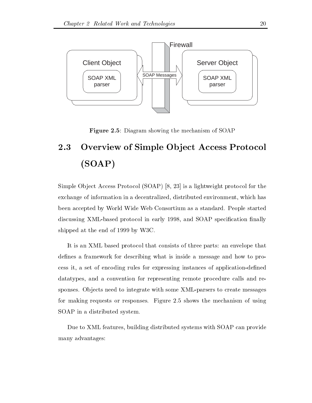

 $\mathcal{L}$  . The mechanism of  $\mathcal{L}$  is the mechanism of SOAP showing the mechanism of SOAP showing the mechanism of SOAP showing the mechanism of SOAP showing the mechanism of SOAP showing the mechanism of SOAP showing t

### Overview of Simple Object Access Protocol 2.3 SO SOAPER SO SOAPER SO SOAPER SO SOAPER SO SOAPER SO SOAPER SO SOAPER SO SOAPER SO SOAP

Simple Ob ject Access Protocol -SOAP is a lightweight protocol for the exchange of information in a decentralized, distributed environment, which has been accepted by World Wide Web Consortium as a standard. People started discussing XML-based protocol in early 1998, and SOAP specification finally shipped at the end of 1999 by  $W3C$ .

It is an XML based protocol that consists of three parts: an envelope that defines a framework for describing what is inside a message and how to process it, a set of encoding rules for expressing instances of application-defined datatypes, and a convention for representing remote procedure calls and responses. Objects need to integrate with some XML-parsers to create messages for making requests or responses. Figure 2.5 shows the mechanism of using SOAP in a distributed system

Due to XML features, building distributed systems with SOAP can provide many advantages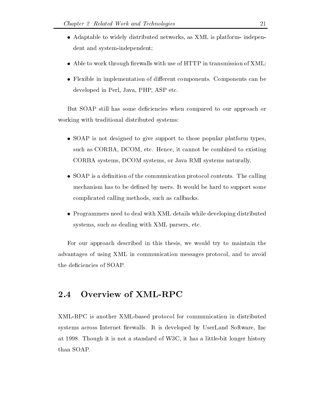- $\bullet$  Adaptable to widely distributed networks, as AML is platform- independent and system-independent;
- $\bullet\,$  Able to work through firewalls with use of HTTP in transmission of XML;
- $\bullet$  Flexible in implementation of different components. Components can be developed in Perl, Java, PHP, ASP etc.

But SOAP still has some deficiencies when compared to our approach or working with traditional distributed systems

- $\bullet$  SOAP is not designed to give support to those popular platform types, such as CORBA, DCOM, etc. Hence, it cannot be combined to existing CORBA systems, DCOM systems, or Java RMI systems naturally.
- $\bullet$  SOAP is a definition of the communication protocol contents. The calling mechanism has to be defined by users. It would be hard to support some complicated calling methods, such as callbacks.
- $\bullet$  -Programmers need to deal with XML details while developing distributed systems, such as dealing with XML parsers, etc.

For our approach described in this thesis, we would try to maintain the advantages of using XML in communication messages protocol, and to avoid the deficiencies of SOAP.

#### Overview of XML-RPC  $2.4$

XML-RPC is another XML-based protocol for communication in distributed systems across Internet firewalls. It is developed by UserLand Software, Inc. at 1998. Though it is not a standard of W3C, it has a little-bit longer history than SOAP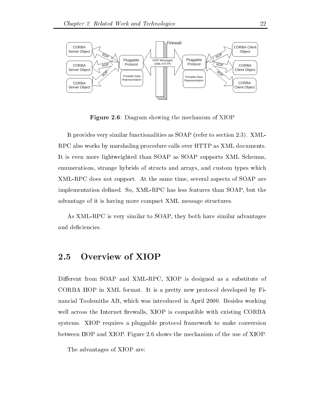

 $-$  -  $\blacksquare$  . The mean showing the mechanism of  $\blacksquare$  . The mean of  $\blacksquare$ 

It provides very similar functionalities as SOAP -refer to section XML RPC also works by marshaling procedure calls over HTTP as XML documents It is even more lightweighted than SOAP as SOAP supports XML Schemas enumerations, strange hybrids of structs and arrays, and custom types which XML-RPC does not support. At the same time, several aspects of SOAP are implementation defined. So, XML-RPC has less features than SOAP, but the advantage of it is having more compact XML message structures

As XML-RPC is very similar to SOAP, they both have similar advantages and deficiencies.

#### $2.5$ Overview of XIOP

Different from SOAP and XML-RPC, XIOP is designed as a substitute of CORBA IIOP in XML format. It is a pretty new protocol developed by Financial Toolsmiths AB, which was introduced in April 2000. Besides working well across the Internet firewalls, XIOP is compatible with existing CORBA systems XIOP requires a pluggable protocol framework to make conversion between IIOP and XIOP. Figure 2.6 shows the mechanism of the use of XIOP.

The advantages of XIOP are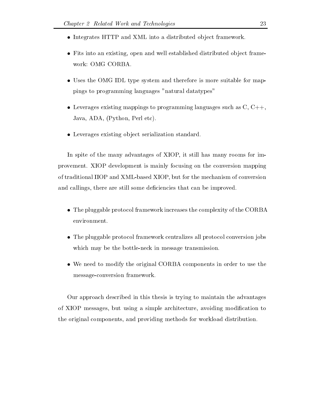- $\bullet$  Integrates HTTP and XML into a distributed object framework.
- $\bullet$  Fits into an existing, open and well established distributed object framework: OMG CORBA.
- $\bullet$  Uses the OMG IDL type system and therefore is more suitable for mappings to programming languages "natural datatypes"
- Leverages existing mappings to programming languages such as  $\mathrm{C},\mathrm{C}++,$ Java ADA -Python Perl etc
- $\bullet$  Leverages existing object serialization standard.

In spite of the many advantages of XIOP, it still has many rooms for improvement XIOP development is mainly focusing on the conversion mapping of traditional IIOP and XML-based XIOP, but for the mechanism of conversion and callings, there are still some deficiencies that can be improved.

- $\bullet$  The pluggable protocol framework increases the complexity of the CORBA environment
- $\bullet$  The pluggable protocol framework centralizes all protocol conversion jobs which may be the bottle-neck in message transmission.
- We need to modify the original CORBA components in order to use the message-conversion framework.

Our approach described in this thesis is trying to maintain the advantages of XIOP messages, but using a simple architecture, avoiding modification to the original components and providing methods for workload distribution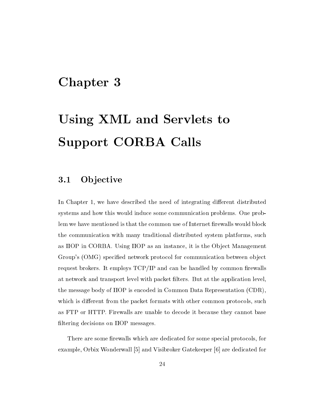## Chapter 3

# Using XML and Servlets to Support CORBA Calls

#### 3.1 **Objective**

In Chapter 1, we have described the need of integrating different distributed systems and how this would induce some communication problems. One problem we have mentioned is that the common use of Internet firewalls would block the communication with many traditional distributed system platforms, such as IIOP in CORBA. Using IIOP as an instance, it is the Object Management s - or protocol for communication between the communication between or communication between order that is a s request brokers. It employs  $TCP/IP$  and can be handled by common firewalls at network and transport level with packet filters. But at the application level, the message body of  $\Gamma$  is encoded in Common Data Representation -  $\Gamma$ which is different from the packet formats with other common protocols, such as FTP or HTTP. Firewalls are unable to decode it because they cannot base filtering decisions on IIOP messages.

There are some firewalls which are dedicated for some special protocols, for example, Orbix Wonderwall  $\lceil 5 \rceil$  and Visibroker Gatekeeper  $\lceil 6 \rceil$  are dedicated for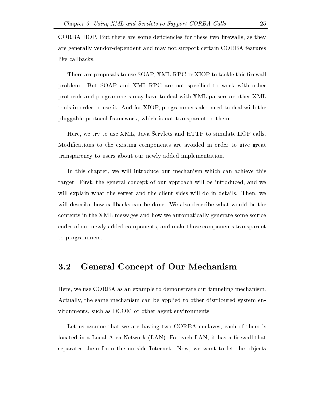CORBA IIOP. But there are some deficiencies for these two firewalls, as they are generally vendor-dependent and may not support certain CORBA features like callbacks

There are proposals to use SOAP, XML-RPC or XIOP to tackle this firewall problem. But SOAP and XML-RPC are not specified to work with other protocols and programmers may have to deal with XML parsers or other XML tools in order to use it. And for XIOP, programmers also need to deal with the pluggable protocol framework which is not transparent to them

Here, we try to use XML, Java Servlets and HTTP to simulate IIOP calls. Modifications to the existing components are avoided in order to give great transparency to users about our newly added implementation

In this chapter, we will introduce our mechanism which can achieve this target. First, the general concept of our approach will be introduced, and we will explain what the server and the client sides will do in details. Then, we will describe how callbacks can be done. We also describe what would be the contents in the XML messages and how we automatically generate some source codes of our newly added components and make those components transparent to programmers

#### General Concept of Our Mechanism  $3.2$

Here, we use CORBA as an example to demonstrate our tunneling mechanism. Actually the same mechanism can be applied to other distributed system en vironments, such as DCOM or other agent environments.

Let us assume that we are having two CORBA enclaves, each of them is located in a Local Area Network -LAN For each LAN it has a rewall that separates them from the outside Internet. Now, we want to let the objects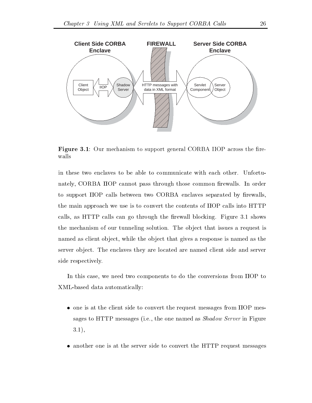

**Figure 3.1**: Our mechanism to support general CORBA IIOP across the firewalls

in these two enclaves to be able to communicate with each other. Unfortunately, CORBA IIOP cannot pass through those common firewalls. In order to support IIOP calls between two CORBA enclaves separated by firewalls, the main approach we use is to convert the contents of IIOP calls into HTTP calls, as HTTP calls can go through the firewall blocking. Figure 3.1 shows the mechanism of our tunneling solution. The object that issues a request is named as client object, while the object that gives a response is named as the server object. The enclaves they are located are named client side and server side respectively

In this case, we need two components to do the conversions from IIOP to XML-based data automatically:

- $\bullet$  one is at the client side to convert the request messages from IIOP messages to HTTP messages -ie the one named as Shadow Server in Figure  $3.1),$
- $\bullet$  another one is at the server side to convert the HTTP request messages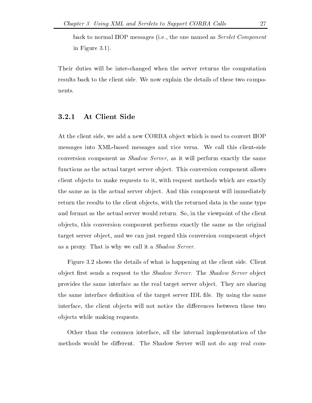back to normal IIOP messages -ie the one named as Servlet Component in Figure 3.1).

Their duties will be interchanged when the server returns the computation results back to the client side We now explain the details of these two compo nents

#### At Client Side

At the client side, we add a new CORBA object which is used to convert IIOP messages into XML-based messages and vice versa. We call this client-side conversion component as *Shadow Server*, as it will perform exactly the same functions as the actual target server object. This conversion component allows client objects to make requests to it, with request methods which are exactly the same as in the actual server object. And this component will immediately return the results to the client objects, with the returned data in the same type and format as the actual server would return. So, in the viewpoint of the client objects, this conversion component performs exactly the same as the original target server object, and we can just regard this conversion component object as a proxy. That is why we call it a  $Shadow$  Server.

Figure 3.2 shows the details of what is happening at the client side. Client object first sends a request to the *Shadow Server*. The *Shadow Server* object provides the same interface as the real target server object. They are sharing the same interface definition of the target server IDL file. By using the same interface, the client objects will not notice the differences between these two ob jects while making requests

Other than the common interface all the internal implementation of the methods would be different. The Shadow Server will not do any real com-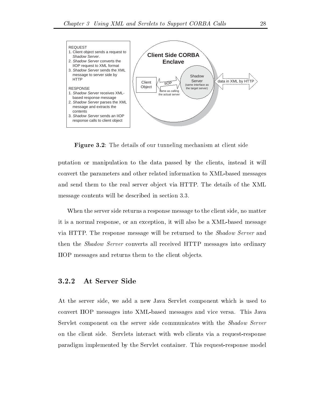

Figure - The details of our tunneling mechanism at client side

putation or manipulation to the data passed by the clients, instead it will convert the parameters and other related information to XML-based messages and send them to the real server object via HTTP. The details of the XML message contents will be described in section

When the server side returns a response message to the client side, no matter it is a normal response, or an exception, it will also be a XML-based message via HTTP. The response message will be returned to the *Shadow Server* and then the Shadow Server converts all received HTTP messages into ordinary IIOP messages and returns them to the client ob jects

At the server side, we add a new Java Servlet component which is used to convert IIOP messages into XML-based messages and vice versa. This Java Servlet component on the server side communicates with the Shadow Server on the client side. Servlets interact with web clients via a request-response paradigm implemented by the Servlet container. This request-response model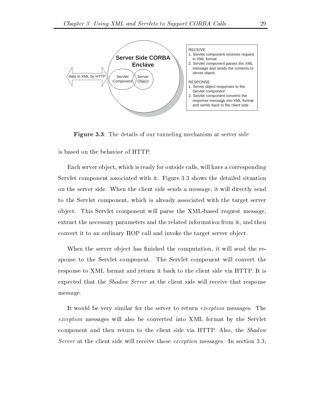

Figure 3.3: The details of our tunneling mechanism at server side

Each server object, which is ready for outside calls, will have a corresponding Servlet component associated with it. Figure 3.3 shows the detailed situation on the server side When the client side sends a message it will directly send to the Servlet component, which is already associated with the target server object. This Servlet component will parse the XML-based request message, extract the necessary parameters and the related information from it, and then convert it to an ordinary IIOP call and invoke the target server object.

When the server object has finished the computation, it will send the response to the Servlet component The Servlet component will convert the response to XML format and return it back to the client side via HTTP. It is expected that the *Shadow Server* at the client side will receive that response message

It would be very similar for the server to return *exception* messages. The exception messages will also be converted into XML format by the Servlet component and then return to the client side via HTTP. Also, the *Shadow* Server at the client side will receive those exception messages. In section  $3.3$ ,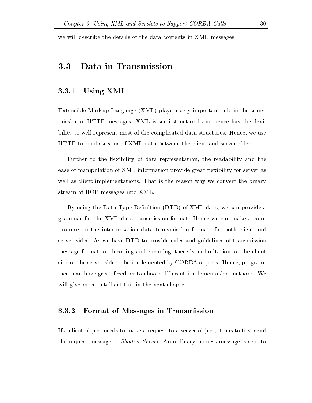we will describe the details of the data contents in XML messages

#### Data in Transmission 3.3

## Using XML

Extensible Markup Language -XML plays a very important role in the trans mission of HTTP messages. XML is semi-structured and hence has the flexibility to well represent most of the complicated data structures. Hence, we use HTTP to send streams of XML data between the client and server sides

Further to the flexibility of data representation, the readability and the ease of manipulation of XML information provide great flexibility for server as well as client implementations. That is the reason why we convert the binary stream of IIOP messages into XML

By using the Data Type Denition -DTD of XML data we can provide a grammar for the XML data transmission format Hence we can make a com promise on the interpretation data transmission formats for both client and server sides. As we have DTD to provide rules and guidelines of transmission message format for decoding and encoding, there is no limitation for the client side or the server side to be implemented by CORBA objects. Hence, programmers can have great freedom to choose different implementation methods. We will give more details of this in the next chapter.

#### Format of Messages in Transmission

If a client object needs to make a request to a server object, it has to first send the request message to *Shadow Server*. An ordinary request message is sent to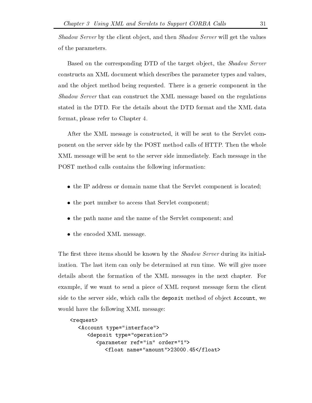Shadow Server by the client object, and then Shadow Server will get the values of the parameters

Based on the corresponding DTD of the target object, the *Shadow Server* constructs an XML document which describes the parameter types and values and the object method being requested. There is a generic component in the Shadow Server that can construct the XML message based on the regulations stated in the DTD. For the details about the DTD format and the XML data format, please refer to Chapter 4.

After the XML message is constructed, it will be sent to the Servlet component on the server side by the POST method calls of HTTP. Then the whole XML message will be sent to the server side immediately Each message in the POST method calls contains the following information

- $\bullet$  the IP address or domain name that the Servlet component is located;
- $\bullet$  the port number to access that Servlet component;
- $\bullet$  the path name and the name of the Servlet component; and
- $\bullet$  the encoded XML message.

The first three items should be known by the *Shadow Server* during its initialization. The last item can only be determined at run time. We will give more details about the formation of the XML messages in the next chapter. For example, if we want to send a piece of XML request message form the client side to the server side, which calls the deposit method of object Account, we would have the following XML message:

```
request-
            Account type in type in the country of the country of the country of the country of the country of the country of the country of the country of the country of the country of the country of the country of the country of the
                        deposit type of the contract of the contract of the contract of the contract of the contract of the contract of
                                     parameter references in order references and the control of the control of the control of the control of the c
                                                  float name amount-benefit float name amount-benefit float name and the state of the state of the state of the
```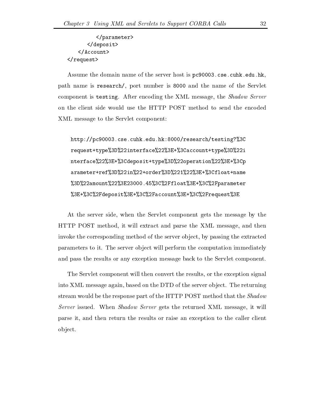parameter-</deposit>  $\langle$ Account> </request>

Assume the domain name of the server host is pc90003.cse.cuhk.edu.hk, path name is research/, port number is 8000 and the name of the Servlet component is testing. After encoding the XML message, the *Shadow Server* on the client side would use the HTTP POST method to send the encoded XML message to the Servlet component

http://pc90003.cse.cuhk.edu.hk:8000/research/testing?%3C request+type%3D%22interface%22%3E+%3Caccount+type%3D%22i nterface%22%3E+%3Cdeposit+type%3D%22operation%22%3E+%3Cp arameter+ref%3D%22in%22+order%3D%221%22%3E+%3Cfloat+name %3D%22amount%22%3E23000.45%3C%2Ffloat%3E+%3C%2Fparameter %3E+%3C%2Fdeposit%3E+%3C%2Faccount%3E+%3C%2Frequest%3E

At the server side, when the Servlet component gets the message by the HTTP POST method, it will extract and parse the XML message, and then invoke the corresponding method of the server object, by passing the extracted parameters to it The server ob ject will perform the computation immediately and pass the results or any exception message back to the Servlet component

The Servlet component will then convert the results or the exception signal into XML message again, based on the DTD of the server object. The returning stream would be the response part of the HTTP POST method that the Shadow Server issued. When Shadow Server gets the returned XML message, it will parse it and then return the results or raise an exception to the caller client ob ject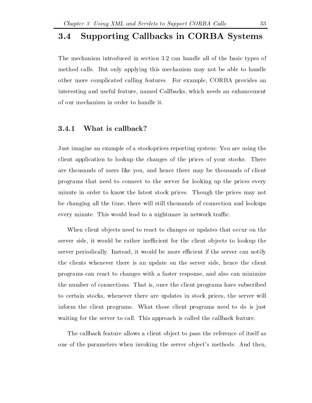#### Supporting Callbacks in CORBA Systems  $3.4$

The mechanism introduced in section 3.2 can handle all of the basic types of method calls. But only applying this mechanism may not be able to handle other more complicated calling features. For example, CORBA provides an interesting and useful feature, named Callbacks, which needs an enhancement of our mechanism in order to handle it

## What is callback?

Just imagine an example of a stock-prices reporting system: You are using the client application to lookup the changes of the prices of your stocks There are thousands of users like you and hence there may be thousands of client programs that need to connect to the server for looking up the prices every minute in order to know the latest stock prices Though the prices may not be changing all the time, there will still thousands of connection and lookups every minute. This would lead to a nightmare in network traffic.

When client objects need to react to changes or updates that occur on the server side, it would be rather inefficient for the client objects to lookup the server periodically. Instead, it would be more efficient if the server can notify the clients whenever there is an update on the server side, hence the client programs can react to changes with a faster response and also can minimize the number of connections. That is, once the client programs have subscribed to certain stocks whenever there are updates in stock prices the server will inform the client programs What those client programs need to do is just waiting for the server to call. This approach is called the callback feature.

The callback feature allows a client object to pass the reference of itself as one of the parameters when invoking the server ob ject s methods And then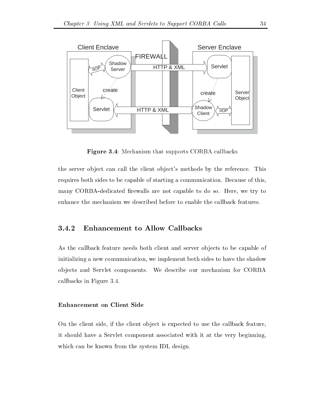

**Figure 3.4:** Mechanism that supports CORBA callbacks

the server ob ject can call the client ob ject s methods by the reference This requires both sides to be capable of starting a communication. Because of this, many CORBA-dedicated firewalls are not capable to do so. Here, we try to enhance the mechanism we described before to enable the callback features

#### Enhancement to Allow Callbacks 3.4.2

As the callback feature needs both client and server objects to be capable of initializing a new communication, we implement both sides to have the shadow ob jects and Servlet components We describe our mechanism for CORBA callbacks in Figure

#### Enhancement on Client Side

On the client side, if the client object is expected to use the callback feature, it should have a Servlet component associated with it at the very beginning which can be known from the system IDL design.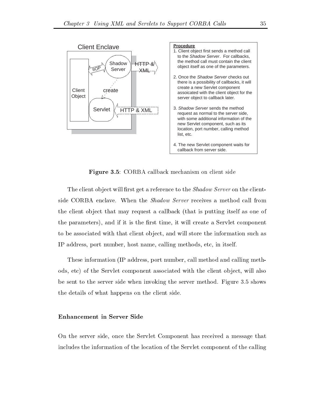

**Figure 3.5**: CORBA callback mechanism on client side

The client object will first get a reference to the *Shadow Server* on the clientside CORBA enclave. When the *Shadow Server* receives a method call from the client ob ject that may request a callback -that is putting itself as one of the parameters), and if it is the first time, it will create a Servlet component to be associated with that client object, and will store the information such as IP address, port number, host name, calling methods, etc, in itself.

These information -IP address port number call method and calling meth ods, etc) of the Servlet component associated with the client object, will also be sent to the server side when invoking the server method. Figure 3.5 shows the details of what happens on the client side

#### Enhancement in Server Side

On the server side, once the Servlet Component has received a message that includes the information of the location of the Servlet component of the calling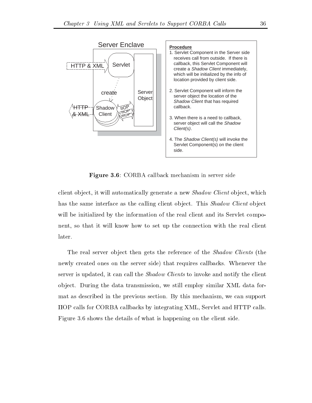

**Figure 3.6**: CORBA callback mechanism in server side

client object, it will automatically generate a new *Shadow Client* object, which has the same interface as the calling client object. This *Shadow Client* object will be initialized by the information of the real client and its Servlet compo nent, so that it will know how to set up the connection with the real client later

The real server ob ject then gets the reference of the Shadow Clients -the newly created ones on the server side) that requires callbacks. Whenever the server is updated, it can call the *Shadow Clients* to invoke and notify the client object. During the data transmission, we still employ similar XML data format as described in the previous section. By this mechanism, we can support IIOP calls for CORBA callbacks by integrating XML Servlet and HTTP calls Figure 3.6 shows the details of what is happening on the client side.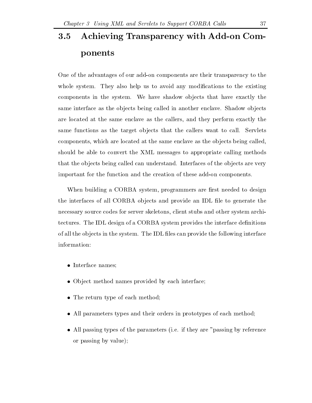## Achieving Transparency with Add-on Com- $3.5$ ponents

One of the advantages of our add-on components are their transparency to the whole system. They also help us to avoid any modifications to the existing components in the system. We have shadow objects that have exactly the same interface as the objects being called in another enclave. Shadow objects are located at the same enclave as the callers and they perform exactly the same functions as the target objects that the callers want to call. Servlets components, which are located at the same enclave as the objects being called, should be able to convert the XML messages to appropriate calling methods that the objects being called can understand. Interfaces of the objects are very important for the function and the creation of these add-on components.

When building a CORBA system, programmers are first needed to design the interfaces of all CORBA objects and provide an IDL file to generate the necessary source codes for server skeletons client stubs and other system archi tectures. The IDL design of a CORBA system provides the interface definitions of all the objects in the system. The IDL files can provide the following interface information

- $\bullet$  Interface names;
- $\bullet$  Object method names provided by each interface;
- $\bullet$  The return type of each method;
- All parameters types and their orders in prototypes of each method
- $\bullet$  All passing types of the parameters (i.e. if they are "passing by reference or passing by value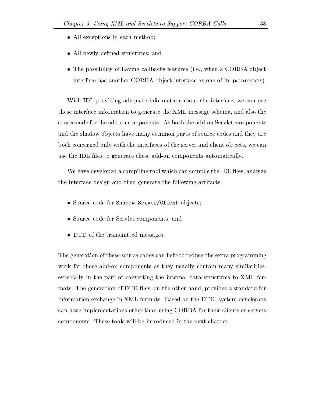- $\bullet$  All exceptions in each method;
- $\bullet$  All newly defined structures; and
- $\bullet$  The possibility of having calibacks features (i.e., when a CORBA object interface has another CORBA object interface as one of its parameters).

With IDL providing adequate information about the interface, we can use these interface information to generate the XML message schema, and also the source code for the add-on components. As both the add-on Servlet components and the shadow objects have many common parts of source codes and they are both concerned only with the interfaces of the server and client objects, we can use the IDL files to generate these add-on components automatically.

We have developed a compiling tool which can compile the IDL files, analyze the interface design and then generate the following artifacts

- $\bullet$  Source code for Shadow Server/Client objects;
- $\bullet$  Source code for Servlet components; and
- $\bullet$  DTD of the transmitted messages.

The generation of these source codes can help to reduce the extra programming work for those add-on components as they usually contain many similarities, especially in the part of converting the internal data structures to XML for mats. The generation of DTD files, on the other hand, provides a standard for information exchange in XML formats. Based on the DTD, system developers can have implementations other than using CORBA for their clients or servers components. These tools will be introduced in the next chapter.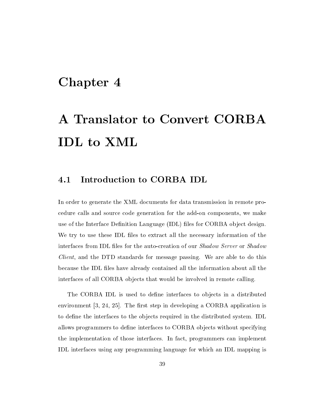## Chapter 4

# A Translator to Convert CORBA IDL to XML

#### Introduction to CORBA IDL 4.1

In order to generate the XML documents for data transmission in remote pro cedure calls and source code generation for the add-on components, we make use of the Interface Denition Language - Interface - Interface - Interface - Interface We try to use these IDL files to extract all the necessary information of the interfaces from IDL files for the auto-creation of our Shadow Server or Shadow *Client*, and the DTD standards for message passing. We are able to do this because the IDL files have already contained all the information about all the interfaces of all CORBA objects that would be involved in remote calling.

The CORBA IDL is used to define interfaces to objects in a distributed environment  $\left[3, 24, 25\right]$ . The first step in developing a CORBA application is to define the interfaces to the objects required in the distributed system. IDL allows programmers to define interfaces to CORBA objects without specifying the implementation of those interfaces. In fact, programmers can implement IDL interfaces using any programming language for which an IDL mapping is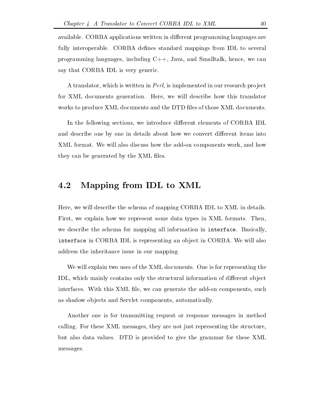available. CORBA applications written in different programming languages are fully interoperable. CORBA defines standard mappings from IDL to several programming languages, including  $C_{++}$ , Java, and Smalltalk, hence, we can say that CORBA IDL is very generic

A translator, which is written in Perl, is implemented in our research project for XML documents generation. Here, we will describe how this translator works to produce XML documents and the DTD files of those XML documents.

In the following sections, we introduce different elements of CORBA IDL and describe one by one in details about how we convert different items into XML format. We will also discuss how the add-on components work, and how they can be generated by the XML files.

## 4.2 Mapping from IDL to XML

Here, we will describe the schema of mapping CORBA IDL to XML in details. First, we explain how we represent some data types in XML formats. Then, we describe the schema for mapping all information in interface. Basically, interface in CORBA IDL is representing an object in CORBA. We will also address the inheritance issue in our mapping

We will explain two uses of the XML documents. One is for representing the IDL, which mainly contains only the structural information of different object interfaces. With this XML file, we can generate the add-on components, such as shadow objects and Servlet components, automatically.

Another one is for transmitting request or response messages in method calling. For these XML messages, they are not just representing the structure, but also data values. DTD is provided to give the grammar for these XML messages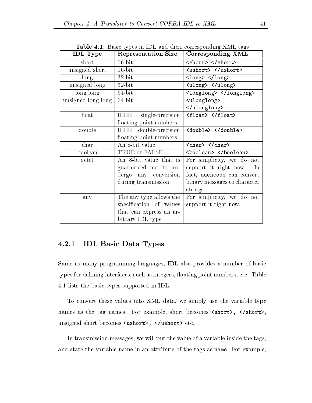| <b>IDL</b> Type    | <b>Representation Size</b> | Corresponding XML                                           |
|--------------------|----------------------------|-------------------------------------------------------------|
| short              | $16$ -bit                  | <short> </short>                                            |
| unsigned short     | $16$ -bit                  | <ushort> </ushort>                                          |
| long               | $32$ -bit                  | $\langle \text{long} \rangle$ $\langle \text{long} \rangle$ |
| unsigned long      | $32$ -bit                  | <ulong> </ulong>                                            |
| long long          | $64$ -bit                  | <longlong> </longlong>                                      |
| unsigned long long | $64$ -bit                  | <ulonglong></ulonglong>                                     |
|                    |                            |                                                             |
| float              | single-precision<br>IEEE   | <float> </float>                                            |
|                    | floating point numbers     |                                                             |
| double             | IEEE double-precision      | <double> </double>                                          |
|                    | floating point numbers     |                                                             |
| char               | An 8-bit value             | $<$ char> $<$ /char>                                        |
| boolean            | TRUE or FALSE.             | <boolean> </boolean>                                        |
| octet              | An 8-bit value that is     | For simplicity, we do not                                   |
|                    | guaranteed not to un-      | support it right now.<br>In                                 |
|                    | dergo any conversion       | fact, uuencode can convert                                  |
|                    | during transmission        | binary messages to character                                |
|                    |                            | strings                                                     |
| any                | The any type allows the    | For simplicity, we do not                                   |
|                    | specification of values    | support it right now.                                       |
|                    | that can express an ar-    |                                                             |
|                    | bitrary IDL type           |                                                             |

**Table 4.1:** Basic types in IDL and their corresponding XML tags

## IDL Basic Data Types

Same as many programming languages, IDL also provides a number of basic types for defining interfaces, such as integers, floating point numbers, etc. Table 4.1 lists the basic types supported in IDL.

To convert these values into XML data, we simply use the variable type names as the tag names For example short becomes short- short-  $\mathcal{L}$  . The short-distribution of the short-distribution of  $\mathcal{L}$ 

In transmission messages, we will put the value of a variable inside the tags, and state the variable name in an attribute of the tags as name. For example,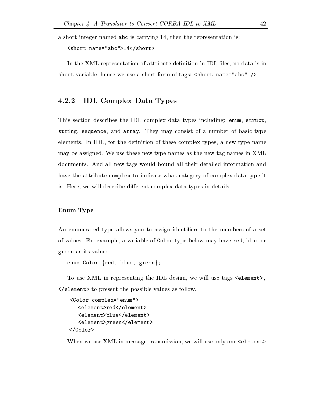a short integer named abc is carrying  $14$ , then the representation is:

```
short name
abc-
short-
```
In the XML representation of attribute definition in IDL files, no data is in short variable hence we use a short form of tags short name abc -

## IDL Complex Data Types

This section describes the IDL complex data types including: enum, struct, string, sequence, and array. They may consist of a number of basic type elements. In IDL, for the definition of these complex types, a new type name may be assigned. We use these new type names as the new tag names in XML documents And all new tags would bound all their detailed information and have the attribute complex to indicate what category of complex data type it is. Here, we will describe different complex data types in details.

#### Enum Type

An enumerated type allows you to assign identifiers to the members of a set of values. For example, a variable of Color type below may have red, blue or green as its value

enum Color  $\{red, blue, green\};$ 

To use  $\mathcal{U}$  in representing the IDL design we will use the IDL design we will use tags elementelement-the possible values as follows. The present the possible values of  $\mathcal{L}_{\mathcal{A}}$ 

```
Color complex
enum-
     element-
redelement-
     element-blueelement-blueelement-blueelement-blueelement-blueelement-blueelement-blueelement-blueelement-blueel
     element-
greenelement-
\langleColor>
```
When we use XML in message transmission, we will use only one  $\leq$  element>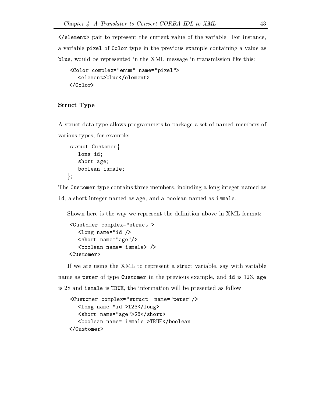element- pair to represent the current value of the variable For instance a variable pixel of Color type in the previous example containing a value as blue, would be represented in the XML message in transmission like this:

```
Color complex
enum name
pixel-
   element-
blueelement-
\langleColor>
```
#### Struct Type

A struct data type allows programmers to package a set of named members of various types, for example:

```
struct Customerf
   long id
   short age
   boolean ismale
\};
```
The Customer type contains three members, including a long integer named as id, a short integer named as age, and a boolean named as ismale.

Shown here is the way we represent the definition above in XML format:

```
structure complexed a complete to
  long name
id-
  short name
age-
  boolean name
ismale-
-
Customer-
```
If we are using the XML to represent a struct variable, say with variable name as peter of type Customer in the previous example, and id is 123, age is 28 and ismale is TRUE, the information will be presented as follow.

```
structure complex complex complex complex complex complex complex complex complex complex complex complex complex complex complex complex complex complex complex complex complex complex complex complex complex complex comp
        long name
id-
long-
        short- name and short- and short-
        is continues in the matrix of the continues of the continues of the continues of the continues of the continues
\langleCustomer>
```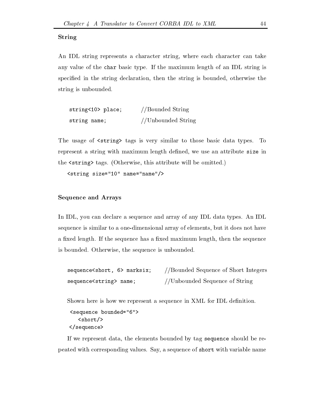#### String

An IDL string represents a character string, where each character can take any value of the char basic type. If the maximum length of an IDL string is specified in the string declaration, then the string is bounded, otherwise the string is unbounded

| string<10> place; | //Bounded String   |
|-------------------|--------------------|
| string name;      | //Unbounded String |

 $\mathbf{u}$  tags is very similar to those basic data types To those basic data types To those basic data types To those basic data types To those basic data types To those basic data types To those basic data types To those represent a string with maximum length defined, we use an attribute size in the string-wind-will be omitted to the string-will be omitted with the string-wind-

string size name name-

#### Sequence and Arrays

In IDL, you can declare a sequence and array of any IDL data types. An IDL sequence is similar to a one-dimensional array of elements, but it does not have a fixed length. If the sequence has a fixed maximum length, then the sequence is bounded. Otherwise, the sequence is unbounded.

| sequence <short, 6=""> marksix;</short,> | //Bounded Sequence of Short Integers |
|------------------------------------------|--------------------------------------|
| sequence <string> name;</string>         | //Unbounded Sequence of String       |

Shown here is how we represent a sequence in XML for IDL definition. sequence bounded - $<$ short/>  $\langle$ sequence>

If we represent data, the elements bounded by tag sequence should be repeated with corresponding values. Say, a sequence of short with variable name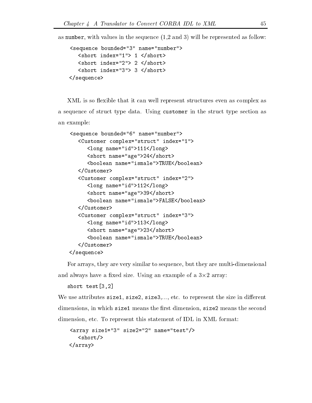as number with values in the sequence - and will be represented as follow

```
sequence bounded
 name
number-
         - short- index in the second state in the second state in the second state in the second state in the second s
         \frac{\text{~short}}{\text{~}x} index="2"> 2 </short>
                                                                   short-
         - short- index in the second second index in the second second in the second second in the second second in the second second in the second second in the second second second in the second second second second second secon
sequence-
```
XML is so flexible that it can well represent structures even as complex as a sequence of struct type data. Using customer in the struct type section as an example

```
sequence bounded
 name
number-
   Customer complex
struct index
-
      long-management-management-management-management-management-management-management-management-management-managem
      short name
age-
short-
      boolean name
ismale-
TRUEboolean-
   </Customer>
   structure complete control extends to
      long name
id-
long-
      short name
age-
short-
      <boolean name="ismale">FALSE</boolean>
                                FALSEboolean-
   Customer-
   Customer complex
struct index
-
      long name
id-
long-
      short- name and not have a short-
      boolean name
ismale-
TRUEboolean-
   </Customer>
\langle sequence>
```
For arrays, they are very similar to sequence, but they are multi-dimensional and always have a fixed size. Using an example of a  $3\times 2$  array:

```
short test[3,2]
```
We use attributes size 1, size 2, size  $3, \ldots$ , etc. to represent the size in different dimensions, in which size 1 means the first dimension, size 2 means the second dimension, etc. To represent this statement of IDL in XML format:

```
array size
 size
 name
test-
  \langleshort/>
array-
```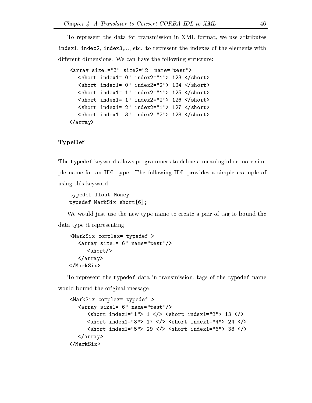To represent the data for transmission in XML format, we use attributes index1, index2, index3,..., etc. to represent the indexes of the elements with different dimensions. We can have the following structure:

```
array size
 size
 name
test-
   short index
 index
-
  short-
   short index in detection in the state of the state of the state of the state of the state of the state of the 
   short index
 index
-
  short-
   short index
 index
-
  short-
   short index
 index
-
  short-
   short index
 index
-
  short-
\langle \ranglearray>
```
#### TypeDef

The typedef keyword allows programmers to define a meaningful or more simple name for an IDL type The following IDL provides a simple example of using this keyword

```
typedef float Money
typedef MarkSix short
```
We would just use the new type name to create a pair of tag to bound the data type it representing

```
MarkSix complex
typedef-
     array size in the control of the control of the control of the control of the control of the control of the co
           <short/>
     array-
</MarkSix>
```
To represent the typedef data in transmission tags of the typedef name would bound the original message

```
MarkSix complex
typedef-
   array size in the control of the control of the control of the control of the control of the control of the co
      short index
-
  -
 short index
-
  -
      short index
-
  -
 short index
-
  -
      short index
-
  -
 short index
-
  -
   \langle \ranglearray>
</MarkSix>
MarkSix-
```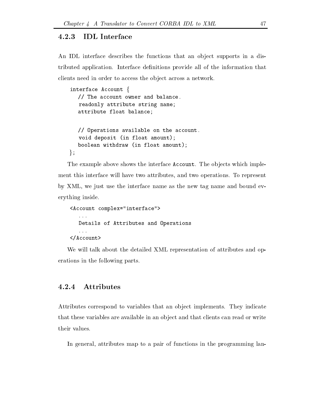#### 4.2.3 **IDL** Interface

An IDL interface describes the functions that an object supports in a distributed application. Interface definitions provide all of the information that clients need in order to access the object across a network.

```
interface Account f
   // The account owner and balance.
   readonly attribute string name
   attribute float balance
   \frac{1}{2} Operations available on the account.
   void deposit (in float amount);
   boolean withdraw (in float amount);
\};
```
The example above shows the interface Account. The objects which implement this interface will have two attributes, and two operations. To represent by XML, we just use the interface name as the new tag name and bound everything inside

```
interface-beneficial-beneficial-beneficial-beneficial-beneficial-beneficial-beneficial-beneficial-beneficial-b
      \ddotscDetails of Attributes and Operations
      \cdots\langle/Account>
Account-
```
We will talk about the detailed XML representation of attributes and op erations in the following parts

## Attributes

Attributes correspond to variables that an object implements. They indicate that these variables are available in an object and that clients can read or write their values.

In general, attributes map to a pair of functions in the programming lan-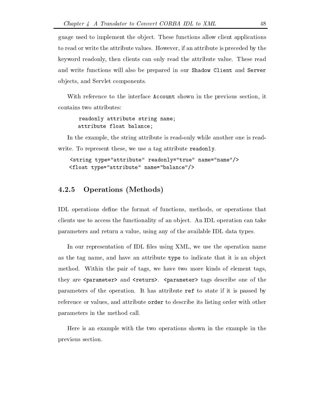guage used to implement the object. These functions allow client applications to read or write the attribute values. However, if an attribute is preceded by the keyword readonly then clients can only read the attribute value These read and write functions will also be prepared in our Shadow Client and Server objects, and Servlet components.

With reference to the interface Account shown in the previous section, it contains two attributes

readonly attribute string name attribute float balance

In the example, the string attribute is read-only while another one is readwrite. To represent these, we use a tag attribute readonly.

```
tribute readonly true name-termine readonly the readonly of the contract of the contract of the contract of the contract of the contract of the contract of the contract of the contract of the contract of the contract of th
float type attribute name balance-balance-balance-balance-balance-balance-balance-balance-balance-balance-bala
```
## **Operations** (Methods)

IDL operations define the format of functions, methods, or operations that clients use to access the functionality of an ob ject An IDL operation can take parameters and return a value, using any of the available IDL data types.

In our representation of IDL files using XML, we use the operation name as the tag name, and have an attribute type to indicate that it is an object method. Within the pair of tags, we have two more kinds of element tags, they are parameter-contracted-contracted-contracted-contracted-contracted-contracted-contracted-contracted-cont parameters of the operation It has attribute ref to state if it is passed by reference or values, and attribute order to describe its listing order with other parameters in the method call

Here is an example with the two operations shown in the example in the previous section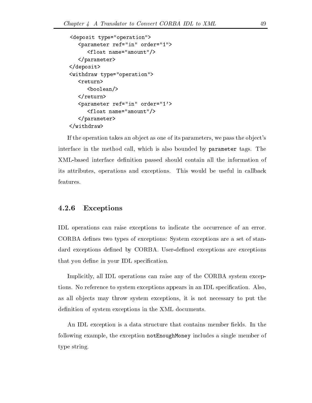```
deposit type of the contract of the contract of the contract of the contract of the contract of the contract of
          parameter references in order references and the contract of the contract of the contract of the contract of the contract of the contract of the contract of the contract of the contract of the contract of the contract of t
                    float name
amount-
          \langleparameter>
\langle deposit>
operation-type types that is a set of the set of the set of the set of the set of the set of the set of the set
          <return>
                   <boolean/>
                    boolean-
          \langlereturn>
          parameter references in order references and the contract of the contract of the contract of the contract of the contract of the contract of the contract of the contract of the contract of the contract of the contract of t
                    float name
amount-
          \langleparameter>
\langlewithdraw>
```
If the operation takes an ob ject as one of its parameters we pass the ob ject s interface in the method call, which is also bounded by parameter tags. The XML-based interface definition passed should contain all the information of its attributes operations and exceptions This would be useful in callback features

#### 4.2.6 Exceptions

IDL operations can raise exceptions to indicate the occurrence of an error CORBA defines two types of exceptions: System exceptions are a set of standard exceptions defined by CORBA. User-defined exceptions are exceptions that you define in your IDL specification.

Implicitly, all IDL operations can raise any of the CORBA system exceptions. No reference to system exceptions appears in an IDL specification. Also, as all ob jects may throw system exceptions it is not necessary to put the definition of system exceptions in the XML documents.

An IDL exception is a data structure that contains member fields. In the following example, the exception notEnoughMoney includes a single member of type string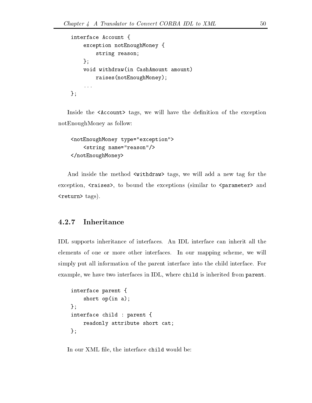```
interface Account {
interface Account 2014 and 2014 and 2014 and 2014 and 2014 and 2014 and 2014 and 2014 and 2014 and 2014 and
       exception notEnoughMoney {
              string reason;
       \} ;
       void withdraw(in CashAmount amount)
             raisees(not \text{Ent} = \text{troughMoney});\ldots};
```
Inside the Account-Account-Account-Account-Account-Account-Account-Account-Account-Account-Account-Account-AccountnotEnoughMoney as follow

```
notes and respect to the context of the context of the context of the context of the context of the context of
        string name
reason-
notEnoughMoney-
```
and instade the method with the matrix we will add a new tags were taken to the the exception raises- to bound the exceptions -similar to parameter- and return- tags

## 4.2.7

IDL supports inheritance of interfaces An IDL interface can inherit all the elements of one or more other interfaces. In our mapping scheme, we will simply put all information of the parent interface into the child interface For example, we have two interfaces in IDL, where child is inherited from parent.

```
interface parent {
    short op(in a);\}:
interface child : parent {readonly attribute short cat
\};
```
In our XML file, the interface child would be: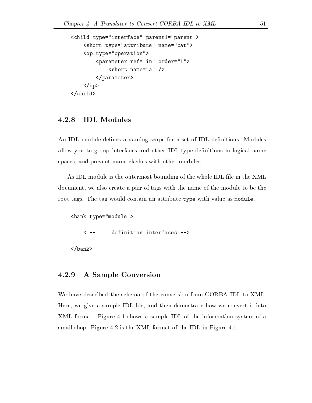```
child type
interface parent
parent-
                  short type attributed at the state of the state of the state of the state of the state of the state of the state of the state of the state of the state of the state of the state of the state of the state of the state of th
                  operation-beneficial contracts of the contracts of the contracts of the contracts of the contracts of the contracts of the contracts of the contracts of the contracts of the contracts of the contracts of the contracts of t
                                   parameter references in order references in the control of the control of the control of the control of the control of the control of the control of the control of the control of the control of the control of the control o
                                                     short name
a -
                                   \langleparameter>
                 \langle/op>
\langlechild>
```
## IDL Modules

An IDL module defines a naming scope for a set of IDL definitions. Modules allow you to group interfaces and other IDL type definitions in logical name spaces, and prevent name clashes with other modules.

As IDL module is the outermost bounding of the whole IDL file in the XML document, we also create a pair of tags with the name of the module to be the root tags. The tag would contain an attribute type with value as module.

```
bank type of the control of the control of the control of the control of the control of the control of the control of the control of the control of the control of the control of the control of the control of the control of
                  \langle -- ... definition interfaces -->
```
bank-

#### 4.2.9 A Sample Conversion

We have described the schema of the conversion from CORBA IDL to XML Here, we give a sample IDL file, and then demostrate how we convert it into XML format. Figure 4.1 shows a sample IDL of the information system of a small shop. Figure  $4.2$  is the XML format of the IDL in Figure  $4.1$ .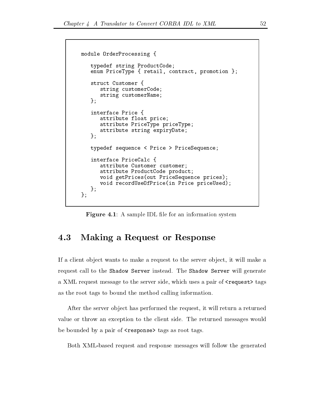```
module OrderProcessing {
  typedef string ProductCode
  enum PriceType { retail, contract, promotion ;struct Customer {
     string customerCode
     string customerName
  \};
  interface Price {
     attribute float price
     attribute PriceType priceType
     attribute string expiryDate
  };
   typedef sequence  Price -
 PriceSequence
  interface PriceCalc {
     attribute Customer customer
     attribute ProductCode product
     void getPrices(out PriceSequence prices);
     void recordUseOfPrice(in Price priceUsed);
  \};
\};
```
**Figure 4.1**: A sample IDL file for an information system

## 4.3 Making a Request or Response

If a client ob ject wants to make a request to the server ob ject it will make a request call to the Shadow Server instead. The Shadow Server will generate a XML request message to the server side which uses a pair of request- tags as the root tags to bound the method calling information

After the server object has performed the request, it will return a returned value or throw an exception to the client side. The returned messages would  $\alpha$  by a pair of response  $\alpha$  responses tags as root tags as  $\alpha$ 

Both XML-based request and response messages will follow the generated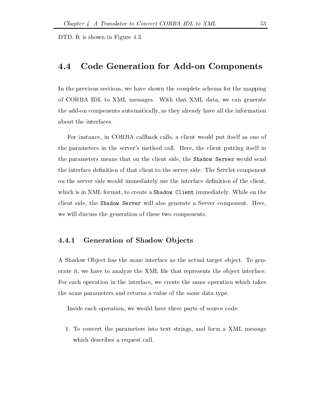DTD. It is shown in Figure 4.3.

#### Code Generation for Add-on Components  $4.4$

In the previous sections we have shown the complete schema for the mapping of CORBA IDL to XML messages With that XML data we can generate the add-on components automatically, as they already have all the information about the interfaces

For instance, in CORBA callback calls, a client would put itself as one of the parameters in the server s method call Here the client putting itself in the parameters means that on the client side, the Shadow Server would send the interface definition of that client to the server side. The Servlet component on the server side would immediately use the interface definition of the client, which is in XML format, to create a Shadow Client immediately. While on the client side, the Shadow Server will also generate a Server component. Here, we will discuss the generation of these two components

### Generation of Shadow Ob jects

A Shadow Object has the same interface as the actual target object. To generate it, we have to analyze the XML file that represents the object interface. For each operation in the interface, we create the same operation which takes the same parameters and returns a value of the same data type

Inside each operation, we would have three parts of source code:

 To convert the parameters into text strings and form a XML message which describes a request call.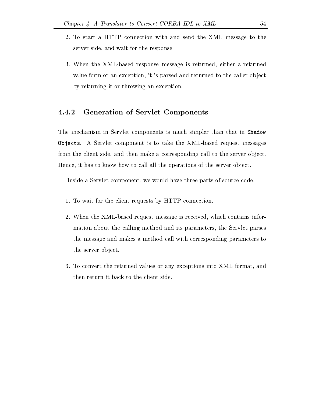- To start a HTTP connection with and send the XML message to the server side, and wait for the response.
- 3. When the XML-based response message is returned, either a returned value form or an exception, it is parsed and returned to the caller object by returning it or throwing an exception

## Generation of Servlet Components

The mechanism in Servlet components is much simpler than that in Shadow Objects. A Servlet component is to take the XML-based request messages from the client side, and then make a corresponding call to the server object. Hence, it has to know how to call all the operations of the server object.

Inside a Servlet component, we would have three parts of source code.

- 1. To wait for the client requests by HTTP connection.
- 2. When the XML-based request message is received, which contains information about the calling method and its parameters the Servlet parses the message and makes a method call with corresponding parameters to the server object.
- 3. To convert the returned values or any exceptions into XML format, and then return it back to the client side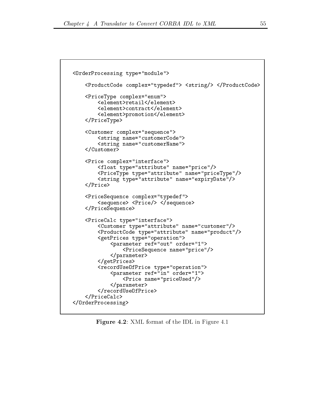```
OrderProcessing type
module-
        ProductCode complex
typedef-
 string-
 ProductCode-
        PriceType complex
enum-
               element-
retailelement-
               element-beloment-beloment-beloment-beloment-beloment-beloment-beloment-beloment-beloment-beloment-beloment-beloment-beloment-beloment-beloment-beloment-beloment-beloment-beloment-beloment-beloment-beloment-beloment-belome
               element-
promotionelement-
       \langlePriceType>
        se complexe complexes and separate contracts of the contract of the contract of the contract of the contract of
               string name
customerCode-
               string name
customerName-
       \langle Customer>
        Price complex
interface-
               float type
attribute name
price-
               PriceType type
attribute name
priceType-
               string type at the string type at the string type at the string type at the string type at the string of the s
       \langlePrice>
        PriceSequence complex
typedef-
               se en encontra se encontra en el manero en el manero de la contradición de la contradición de la contradición d
       PriceSequence-
        PriceCalc type
interface-
               Customer type
attribute name
customer-
               ProductCode type
attribute name
product-
               getPrices type
operation-
                       parameter references and the contract order references and the contract order of the contract order of the contract order of the contract of the contract of the contract of the contract of the contract of the contract of t
                               PriceSequence name
price-
                       \langleparameter>
               getPrices-
               record Use Of Price type of Price type of Price type of Price type of Price type of Price type of Price type o
                       parameter references in order references in the control of the control of the control of the control of the control of the control of the control of the control of the control of the control of the control of the control o
                               Price name
priceUsed-
                       \langleparameter>
               recordUseOfPrice-
       \langlePriceCalc>
</OrderProcessing>
```
Figure - XML format of the IDL in Figure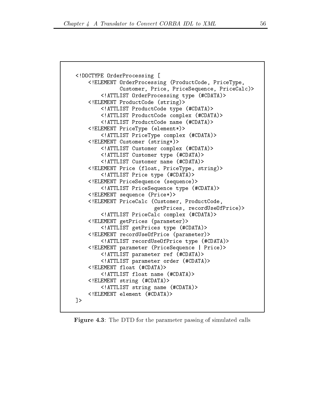```
DOCTYPE OrderProcessing 
    <!ELEMENT OrderProcessing (ProductCode, PriceType,
              Customer, Price, PriceSequence, PriceCalc)>
        <!ATTLIST OrderProcessing type (#CDATA)>
    <!ELEMENT ProductCode (string)>
        <!ATTLIST ProductCode type (#CDATA)>
        <!ATTLIST ProductCode complex (#CDATA)>
        \leq!ATTLIST ProductCode name (#CDATA)>
    <!ELEMENT PriceType (element*)>
        <!ATTLIST PriceType complex (#CDATA)>
    <!ELEMENT Customer (string*)>
        <!ATTLIST Customer complex (#CDATA)>
        <! ATTLIST Customer type (#CDATA)>
        <! ATTLIST Customer name (#CDATA)>
    <! ELEMENT Price (float, PriceType, string)>
        <!ATTLIST Price type (#CDATA)>
    <! ELEMENT PriceSequence (sequence)>
        <!ATTLIST PriceSequence type (#CDATA)>
    <!ELEMENT sequence (Price*)>
    <!ELEMENT PriceCalc (Customer, ProductCode,
                          getPrices, recordUseOfPrice)>
        <! ATTLIST PriceCalc complex (#CDATA)>
    <!ELEMENT getPrices (parameter)>
        <!ATTLIST getPrices type (#CDATA)>
    <!ELEMENT recordUseOfPrice (parameter)>
        <!ATTLIST recordUseOfPrice type (#CDATA)>
    <!ELEMENT parameter (PriceSequence | Price)>
        <! ATTLIST parameter ref (#CDATA)>
        <!ATTLIST parameter order (#CDATA)>
    \leq!ELEMENT float (\text{\#CDATA})>
        \leq!ATTLIST float name (#CDATA)>
    <!ELEMENT string (#CDATA)>
        <!ATTLIST string name (#CDATA)>
    <! ELEMENT element (#CDATA)>
\rightarrow
```
**Figure 4.3**: The DTD for the parameter passing of simulated calls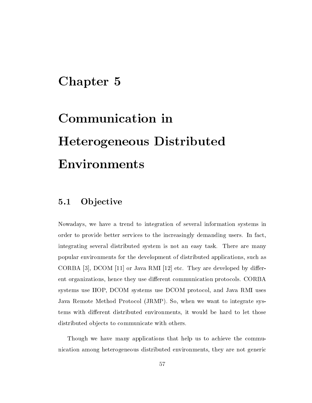## Chapter 5

# Communication in Heterogeneous Distributed Environments

#### $5.1$ **Objective**

Nowadays we have a trend to integration of several information systems in order to provide better services to the increasingly demanding users. In fact, integrating several distributed system is not an easy task. There are many popular environments for the development of distributed applications, such as CORBA  $[3]$ , DCOM  $[11]$  or Java RMI  $[12]$  etc. They are developed by different organizations, hence they use different communication protocols. CORBA systems use IIOP, DCOM systems use DCOM protocol, and Java RMI uses Java Remote Method Protocol -JRMP So when we want to integrate sys tems with different distributed environments, it would be hard to let those distributed objects to communicate with others.

Though we have many applications that help us to achieve the commu nication among heterogeneous distributed environments, they are not generic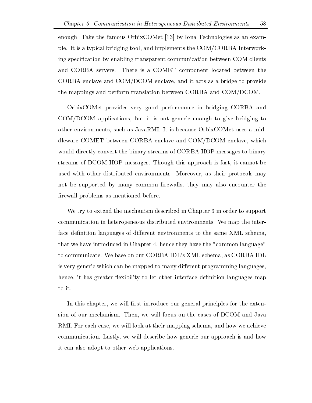enough. Take the famous OrbixCOMet  $[13]$  by Iona Technologies as an example. It is a typical bridging tool, and implements the  $COM/CORBA$  Interworking specification by enabling transparent communication between COM clients and CORBA servers. There is a COMET component located between the CORBA enclave and COM/DCOM enclave, and it acts as a bridge to provide the mappings and perform translation between CORBA and COM/DCOM.

OrbixCOMet provides very good performance in bridging CORBA and  $COM/DCOM$  applications, but it is not generic enough to give bridging to other environments, such as JavaRMI. It is because OrbixCOMet uses a middleware COMET between CORBA enclave and COM/DCOM enclave, which would directly convert the binary streams of CORBA IIOP messages to binary streams of DCOM IIOP messages. Though this approach is fast, it cannot be used with other distributed environments. Moreover, as their protocols may not be supported by many common firewalls, they may also encounter the firewall problems as mentioned before.

We try to extend the mechanism described in Chapter 3 in order to support communication in heterogeneous distributed environments. We map the interface definition languages of different environments to the same XML schema, that we have introduced in Chapter 4, hence they have the "common language" to communicate We base on our CORBA IDL schema as CORBA IDLINES, we can consider the complete  $\sim$ is very generic which can be mapped to many different programming languages, hence, it has greater flexibility to let other interface definition languages map to it

In this chapter, we will first introduce our general principles for the extension of our mechanism. Then, we will focus on the cases of DCOM and Java RMI. For each case, we will look at their mapping schema, and how we achieve communication. Lastly, we will describe how generic our approach is and how it can also adopt to other web applications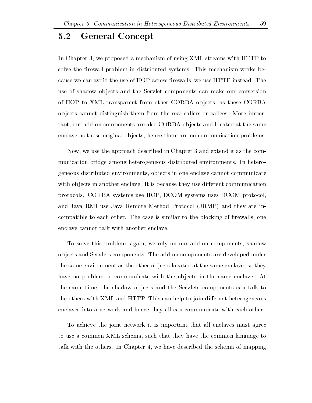#### $5.2$ General Concept

In Chapter 3, we proposed a mechanism of using XML streams with HTTP to solve the firewall problem in distributed systems. This mechanism works because we can avoid the use of IIOP across firewalls, we use HTTP instead. The use of shadow ob jects and the Servlet components can make our conversion of IIOP to XML transparent from other CORBA objects, as these CORBA ob jects cannot distinguish them from the real callers or callees More impor tant, our add-on components are also CORBA objects and located at the same enclave as those original objects, hence there are no communication problems.

Now, we use the approach described in Chapter 3 and extend it as the communication bridge among heterogeneous distributed environments In hetero geneous distributed environments, objects in one enclave cannot communicate with objects in another enclave. It is because they use different communication protocols. CORBA systems use IIOP, DCOM systems uses DCOM protocol, and Java RMI use Java RMI use Java Remote Method Protocol - In the Industrial Contract of the Industrial Contract of the Industrial Contract of the Industrial Contract of the Industrial Contract of the Industrial Contract compatible to each other. The case is similar to the blocking of firewalls, one enclave cannot talk with another enclave

To solve this problem, again, we rely on our add-on components, shadow objects and Servlets components. The add-on components are developed under the same environment as the other objects located at the same enclave, so they have no problem to communicate with the objects in the same enclave. At the same time, the shadow objects and the Servlets components can talk to the others with XML and HTTP. This can help to join different heterogeneous enclaves into a network and hence they all can communicate with each other

To achieve the joint network it is important that all enclaves must agree to use a common XML schema, such that they have the common language to talk with the others. In Chapter 4, we have described the schema of mapping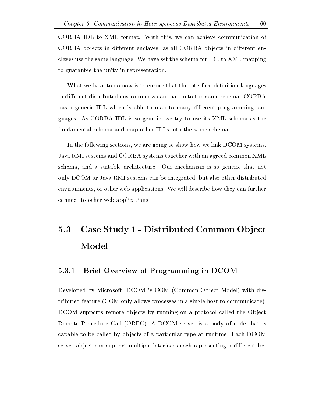CORBA IDL to XML format. With this, we can achieve communication of CORBA objects in different enclaves, as all CORBA objects in different enclaves use the same language We have set the schema for IDL to XML mapping to guarantee the unity in representation

What we have to do now is to ensure that the interface definition languages in different distributed environments can map onto the same schema. CORBA has a generic IDL which is able to map to many different programming languages As CORBA IDL is so generic we try to use its XML schema as the fundamental schema and map other IDLs into the same schema

In the following sections, we are going to show how we link DCOM systems, Java RMI systems and CORBA systems together with an agreed common XML schema, and a suitable architecture. Our mechanism is so generic that not only DCOM or Java RMI systems can be integrated, but also other distributed environments, or other web applications. We will describe how they can further connect to other web applications

## Case Study - Distributed Common Ob ject Model

## Brief Overview of Programming in DCOM

Developed by Microsoft DCOM is COM -Common Ob ject Model with dis tributed from only allows processes in a single single to compute the communicates in a single single  $\mu$ DCOM supports remote objects by running on a protocol called the Object Remote Procedure Call -ORPC A DCOM server is a body of code that is capable to be called by objects of a particular type at runtime. Each DCOM server object can support multiple interfaces each representing a different be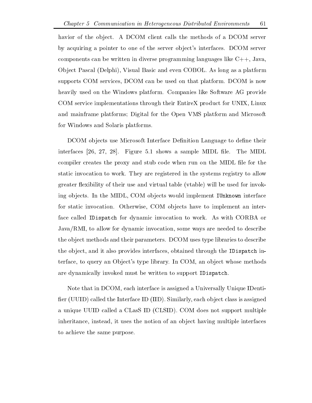havior of the object. A DCOM client calls the methods of a DCOM server by acquiring a pointer to one of the server ob ject s interfaces DCOM server components can be written in diverse programming languages like  $C_{++}$ , Java, Ob ject Pascal is the expression of the even Cobol As long and every and every platform complete the contract of the collection of the collection of the collection of the collection of the collection of the collection of t supports COM services, DCOM can be used on that platform. DCOM is now heavily used on the Windows platform. Companies like Software AG provide COM service implementations through their EntireX product for UNIX Linux and mainframe platforms; Digital for the Open VMS platform and Microsoft for Windows and Solaris platforms

DCOM objects use Microsoft Interface Definition Language to define their interfaces  $[26, 27, 28]$ . Figure 5.1 shows a sample MIDL file. The MIDL compiler creates the proxy and stub code when run on the MIDL file for the static invocation to work They are registered in the systems registry to allow  $\mathbf u$ ing objects. In the MIDL, COM objects would implement IUnknown interface for static invocation. Otherwise, COM objects have to implement an interface called IDispatch for dynamic invocation to work As with CORBA or Java/RMI, to allow for dynamic invocation, some ways are needed to describe the ob ject methods and their parameters DCOM uses type libraries to describe the object, and it also provides interfaces, obtained through the IDispatch interface to query and Ob ject with producing the control and the products in Communication of the communication are dynamically invoked must be written to support IDispatch

Note that in DCOM, each interface is assigned a Universally Unique IDentier -UUID called the Interface ID -IID Similarly each ob ject class is assigned a unique UUID called a CLasS ID -CLSID COM does not support multiple inheritance, instead, it uses the notion of an object having multiple interfaces to achieve the same purpose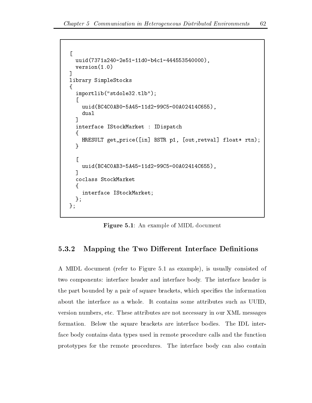```
the contract of the contract of the contract of the contract of the contract of the contract of the contract of
   uuid(7371a240-2e51-11d0-b4c1-444553540000),
   version(1.0)그는 어떻게 되었다. 이 사람은 어떻게 하지 않아 보이지 않아.
library SimpleStocks
\mathbf{F}!
   importlib("stdole32.tlb");
    \Gamma
       uuid(BC4C0AB0-5A45-11d2-99C5-00A02414C655),
   \overline{1}and the contract of the contract of the contract of the contract of the contract of the contract of the contract of the contract of the contract of the contract of the contract of the contract of the contract of the contra
   interface IStockMarket : IDispatch
   \{HRESULT get_price([in] BSTR p1, [out,retval] float* rtn);
    "

       uuid(BC4C0AB3-5A45-11d2-99C5-00A02414C655),

    coclass StockMarket
    !
       interface IStockMarket
   \cdot};
```
**Figure 5.1:** An example of MIDL document

## Mapping the Two Different Interface Definitions

 $\mathbf A$  multiplier to  $\mathbf A$  as example is usually consistent of  $\mathbf A$ two components: interface header and interface body. The interface header is the part bounded by a pair of square brackets, which specifies the information about the interface as a whole. It contains some attributes such as UUID, version numbers, etc. These attributes are not necessary in our XML messages formation. Below the square brackets are interface bodies. The IDL interface body contains data types used in remote procedure calls and the function prototypes for the remote procedures The interface body can also contain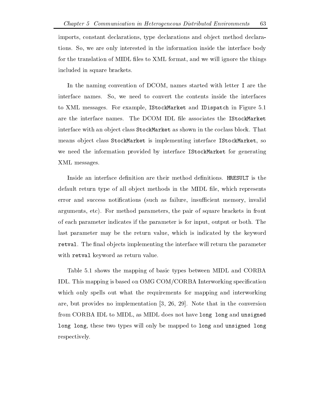imports, constant declarations, type declarations and object method declarations. So, we are only interested in the information inside the interface body for the translation of MIDL files to XML format, and we will ignore the things included in square brackets

In the naming convention of DCOM, names started with letter I are the interface names. So, we need to convert the contents inside the interfaces to XML messages. For example, IStockMarket and IDispatch in Figure 5.1 are the interface names. The DCOM IDL file associates the IStockMarket interface with an object class StockMarket as shown in the coclass block. That means object class StockMarket is implementing interface IStockMarket, so we need the information provided by interface IStockMarket for generating XML messages

Inside an interface definition are their method definitions. HRESULT is the default return type of all object methods in the MIDL file, which represents error and success notications -such as failure insucient memory invalid arguments, etc). For method parameters, the pair of square brackets in front of each parameter indicates if the parameter is for input output or both The last parameter may be the return value, which is indicated by the keyword retval. The final objects implementing the interface will return the parameter with retval keyword as return value.

Table 5.1 shows the mapping of basic types between MIDL and CORBA IDL. This mapping is based on OMG COM/CORBA Interworking specification which only spells out what the requirements for mapping and interworking are, but provides no implementation  $\left[3, 26, 29\right]$ . Note that in the conversion from CORBA IDL to MIDL as MIDL does not have long long and unsigned long long, these two types will only be mapped to long and unsigned long respectively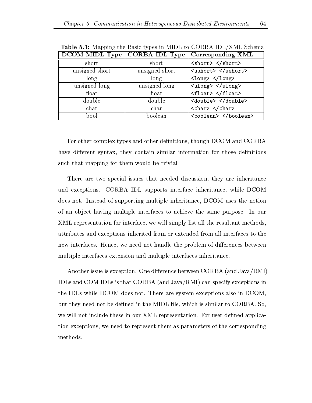| DCOM MIDL Type | CORBA IDL Type | Corresponding XML                             |  |
|----------------|----------------|-----------------------------------------------|--|
| short          | short          | <short> </short>                              |  |
| unsigned short | unsigned short | <ushort> </ushort>                            |  |
| long           | long           | $\langle$ long> $\langle$ /long>              |  |
| unsigned long  | unsigned long  | <ulong> </ulong>                              |  |
| float          | float          | <float> </float>                              |  |
| double         | double         | <double> </double>                            |  |
| char           | char           | $\langle char \rangle$ $\langle char \rangle$ |  |
| bool           | boolean        | <boolean> </boolean>                          |  |

**Table 5.1**: Mapping the Basic types in MIDL to CORBA IDL/XML Schema

For other complex types and other definitions, though DCOM and CORBA have different syntax, they contain similar information for those definitions such that mapping for them would be trivial

There are two special issues that needed discussion, they are inheritance and exceptions. CORBA IDL supports interface inheritance, while DCOM does not. Instead of supporting multiple inheritance, DCOM uses the notion of an object having multiple interfaces to achieve the same purpose. In our XML representation for interface, we will simply list all the resultant methods, attributes and exceptions inherited from or extended from all interfaces to the new interfaces. Hence, we need not handle the problem of differences between multiple interfaces extension and multiple interfaces inheritance

Another issue is exception One dierence between CORBA -and JavaRMI IDLs and COM IDLs is that CORBA -and JavaRMI can specify exceptions in the IDLs while DCOM does not. There are system exceptions also in DCOM, but they need not be defined in the MIDL file, which is similar to CORBA. So, we will not include these in our XML representation. For user defined application exceptions we need to represent them as parameters of the corresponding methods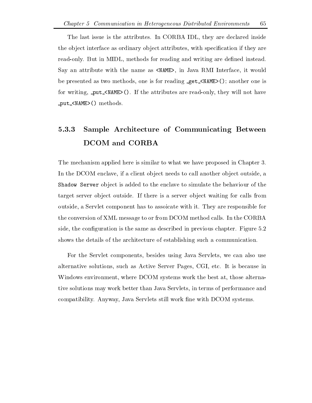The last issue is the attributes. In CORBA IDL, they are declared inside the object interface as ordinary object attributes, with specification if they are read-only. But in MIDL, methods for reading and writing are defined instead. say and attribute with the name assumed with the name of the name as NAME-Interface it would be presented as two methods one is for reading get  $\mathcal{M}$  reading get  $\mathcal{M}$  . The set  $\mathcal{M}$ for writing put NAME- If the attributes are readonly they will not have put NAME- methods

## Sample Architecture of Communicating Between DCOM and CORBA

The mechanism applied here is similar to what we have proposed in Chapter 3. In the DCOM enclave, if a client object needs to call another object outside, a Shadow Server object is added to the enclave to simulate the behaviour of the target server object outside. If there is a server object waiting for calls from outside a Servlet component has to assoicate with it They are responsible for the conversion of XML message to or from DCOM method calls. In the CORBA side, the configuration is the same as described in previous chapter. Figure 5.2 shows the details of the architecture of establishing such a communication

For the Servlet components besides using Java Servlets we can also use alternative solutions, such as Active Server Pages, CGI, etc. It is because in Windows environment, where DCOM systems work the best at, those alternative solutions may work better than Java Servlets in terms of performance and compatibility. Anyway, Java Servlets still work fine with DCOM systems.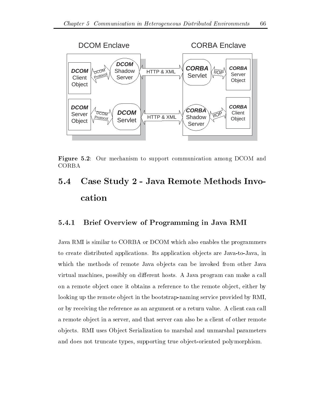

 $\blacksquare$  - Our mechanism to support communication and  $\blacksquare$ 

## $5.4$ Case Study 2 - Java Remote Methods Invocation

#### Brief Overview of Programming in Java RMI 5.4.1

Java RMI is similar to CORBA or DCOM which also enables the programmers to create distributed applications. Its application objects are Java-to-Java, in which the methods of remote Java objects can be invoked from other Java virtual machines, possibly on different hosts. A Java program can make a call on a remote object once it obtains a reference to the remote object, either by looking up the remote object in the bootstrap-naming service provided by RMI. or by receiving the reference as an argument or a return value A client can call a remote object in a server, and that server can also be a client of other remote ob jects RMI uses Ob ject Serialization to marshal and unmarshal parameters and does not truncate types, supporting true object-oriented polymorphism.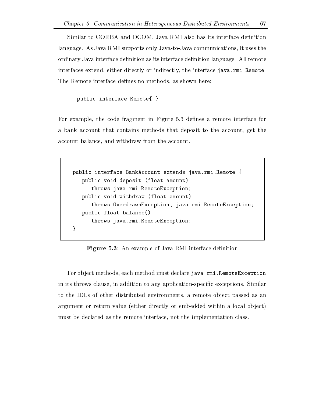Similar to CORBA and DCOM, Java RMI also has its interface definition language. As Java RMI supports only Java-to-Java communications, it uses the ordinary Java interface definition as its interface definition language. All remote interfaces extend, either directly or indirectly, the interface java.rmi.Remote. The Remote interface defines no methods, as shown here:

### public interface Remote{ }

For example, the code fragment in Figure 5.3 defines a remote interface for a bank account that contains methods that deposit to the account, get the account balance, and withdraw from the account.

```
public interface BankAccount extends java.rmi. Remote {
   public void deposit (float amount)
      throws java.rmi. RemoteException;
   public void withdraw (float amount)
      throws OverdrawnException, java.rmi. RemoteException;
   public float balance
      throws java.rmi. RemoteException;
"
```
**Figure 5.3**: An example of Java RMI interface definition

For object methods, each method must declare java.rmi.RemoteException in its throws clause, in addition to any application-specific exceptions. Similar to the IDLs of other distributed environments, a remote object passed as an argument or return value -either directly or embedded within a local ob ject must be declared as the remote interface, not the implementation class.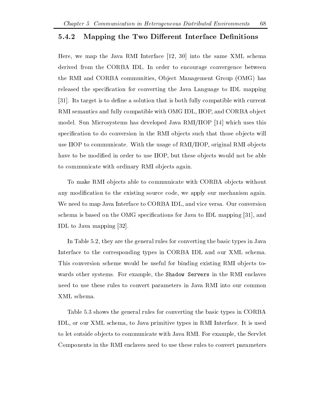### Mapping the Two Different Interface Definitions

Here, we map the Java RMI Interface  $[12, 30]$  into the same XML schema derived from the CORBA IDL. In order to encourage convergence between the RMI and CORBA communities Ob ject Management Group -OMG has released the specification for converting the Java Language to IDL mapping [31]. Its target is to define a solution that is both fully compatible with current RMI semantics and fully compatible with OMG IDL, IIOP, and CORBA object model. Sun Microsystems has developed Java  $RMI/IIOP$  [14] which uses this specification to do conversion in the RMI objects such that those objects will use IIOP to communicate. With the usage of RMI/IIOP, original RMI objects have to be modified in order to use HOP, but these objects would not be able to communicate with ordinary RMI objects again.

To make RMI objects able to communicate with CORBA objects without any modification to the existing source code, we apply our mechanism again. We need to map Java Interface to CORBA IDL, and vice versa. Our conversion schema is based on the OMG specifications for Java to IDL mapping [31], and IDL to Java mapping [32].

In Table 5.2, they are the general rules for converting the basic types in Java Interface to the corresponding types in CORBA IDL and our XML schema This conversion scheme would be useful for binding existing RMI objects towards other systems. For example, the Shadow Servers in the RMI enclaves need to use these rules to convert parameters in Java RMI into our common XML schema

Table 5.3 shows the general rules for converting the basic types in CORBA IDL, or our XML schema, to Java primitive types in RMI Interface. It is used to let outside objects to communicate with Java RMI. For example, the Servlet Components in the RMI enclaves need to use these rules to convert parameters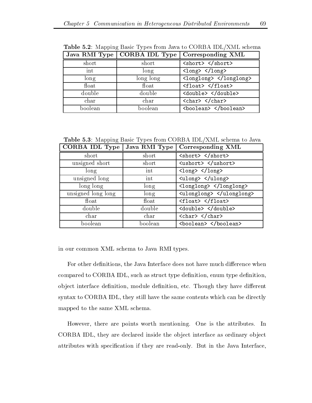|         | Java RMI Type   CORBA IDL Type | Corresponding XML                |  |
|---------|--------------------------------|----------------------------------|--|
| short   | short                          | <short> </short>                 |  |
| int     | long                           | $\langle$ long> $\langle$ /long> |  |
| long    | long long                      | <longlong> </longlong>           |  |
| float   | float                          | <float> </float>                 |  |
| double  | double                         | <double> </double>               |  |
| char    | char                           | $<$ char> $<$ /char>             |  |
| boolean | boolean                        | <boolean> </boolean>             |  |

Table - Mapping Basic Types from Java to CORBA IDLXML schema

Table 5.3: Mapping Basic Types from CORBA IDL/XML schema to Java

| CORBA IDL Type     | Java RMI Type | Corresponding XML                |  |
|--------------------|---------------|----------------------------------|--|
| short              | short         | <short> </short>                 |  |
| unsigned short     | short         | <ushort> </ushort>               |  |
| long               | int           | $\langle$ long> $\langle$ /long> |  |
| unsigned long      | int           | <ulong> </ulong>                 |  |
| long long          | long          | <longlong> </longlong>           |  |
| unsigned long long | long          | <ulonglong> </ulonglong>         |  |
| $_{\text{float}}$  | float         | $<$ float> $<$ /float>           |  |
| double             | double        | <double> </double>               |  |
| char               | char          | <char> </char>                   |  |
| boolean            | boolean       | <boolean> </boolean>             |  |

in our common XML schema to Java RMI types

For other definitions, the Java Interface does not have much difference when compared to CORBA IDL, such as struct type definition, enum type definition, object interface definition, module definition, etc. Though they have different syntax to CORBA IDL, they still have the same contents which can be directly mapped to the same XML schema

However, there are points worth mentioning. One is the attributes. In CORBA IDL, they are declared inside the object interface as ordinary object attributes with specification if they are read-only. But in the Java Interface,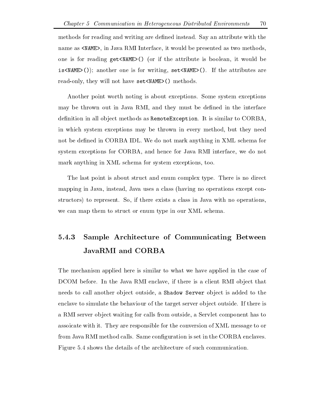methods for reading and writing are defined instead. Say an attribute with the name as NAME-Interface it would be presented as NAME-Interface it would be presented as two methods of two methods one is for attribute  $\sim$  if the attribute is attribute is attribute is attribute it would be attribute it would is the set  $\mathcal{N}$  is the attribute set  $\mathcal{N}$  is for  $\mathcal{N}$  are  $\mathcal{N}$  . The attributes are at the attribute readonly they will not have set  $\mathbf{M}$  . They will not have set  $\mathbf{M}$ 

Another point worth noting is about exceptions Some system exceptions may be thrown out in Java RMI, and they must be defined in the interface definition in all object methods as RemoteException. It is similar to CORBA, in which system exceptions may be thrown in every method, but they need not be defined in CORBA IDL. We do not mark anything in XML schema for system exceptions for CORBA, and hence for Java RMI interface, we do not mark anything in XML schema for system exceptions, too.

The last point is about struct and enum complex type. There is no direct mapping in Java instead Java in Java uses a control instead operations - provided the control in the control of structors) to represent. So, if there exists a class in Java with no operations, we can map them to struct or enum type in our XML schema.

## Sample Architecture of Communicating Between JavaRMI and CORBA

The mechanism applied here is similar to what we have applied in the case of DCOM before. In the Java RMI enclave, if there is a client RMI object that needs to call another object outside, a Shadow Server object is added to the enclave to simulate the behaviour of the target server object outside. If there is a RMI server object waiting for calls from outside, a Servlet component has to assoicate with it They are responsible for the conversion of XML message to or from Java RMI method calls. Same configuration is set in the CORBA enclaves. Figure 5.4 shows the details of the architecture of such communication.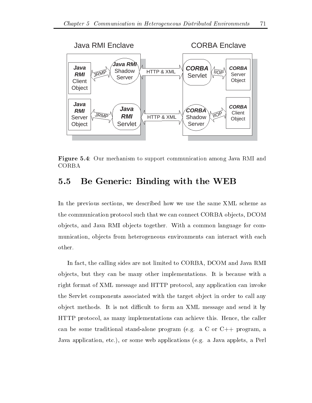

**Figure 5.4:** Our mechanism to support communication among Java RMI and CORBA

## 5.5 Be Generic: Binding with the WEB

In the previous sections, we described how we use the same XML scheme as the communication protocol such that we can connect CORBA objects, DCOM ob jects and Java RMI ob jects together With a common language for com munication, objects from heterogeneous environments can interact with each other

In fact, the calling sides are not limited to CORBA, DCOM and Java RMI ob jects but they can be many other implementations It is because with a right format of XML message and HTTP protocol, any application can invoke the Servlet components associated with the target ob ject in order to call any object methods. It is not difficult to form an XML message and send it by HTTP protocol, as many implementations can achieve this. Hence, the caller can be some traditional standalone program -eg a C or C program a Java application etc or some web applications -eg a Java applets a Perl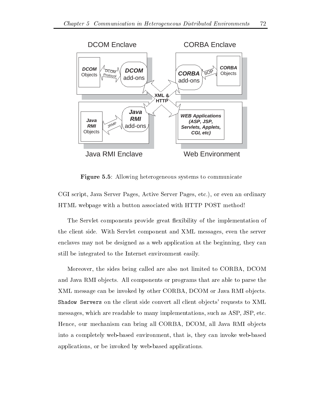

**Figure 5.5**: Allowing heterogeneous systems to communicate

CGI script, Java Server Pages, Active Server Pages, etc.), or even an ordinary HTML webpage with a button associated with HTTP POST method

The Servlet components provide great flexibility of the implementation of the client side With Servlet component and XML messages even the server enclaves may not be designed as a web application at the beginning, they can still be integrated to the Internet environment easily

Moreover, the sides being called are also not limited to CORBA, DCOM and Java RMI objects. All components or programs that are able to parse the XML message can be invoked by other CORBA, DCOM or Java RMI objects. Shadow Servers on the client side convert all client ob jects requests to XML messages, which are readable to many implementations, such as ASP, JSP, etc. Hence, our mechanism can bring all CORBA, DCOM, all Java RMI objects into a completely web-based environment, that is, they can invoke web-based applications, or be invoked by web-based applications.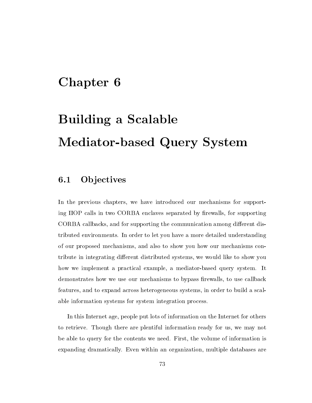## Chapter 6

# Building a Scalable Mediator-based Query System

#### $6.1$ **Objectives**

In the previous chapters, we have introduced our mechanisms for supporting IIOP calls in two CORBA enclaves separated by firewalls, for supporting CORBA callbacks, and for supporting the communication among different distributed environments In order to let you have a more detailed understanding of our proposed mechanisms and also to show you how our mechanisms con tribute in integrating different distributed systems, we would like to show you how we implement a practical example, a mediator-based query system. It demonstrates how we use our mechanisms to bypass firewalls, to use callback features, and to expand across heterogeneous systems, in order to build a scalable information systems for system integration process

In this Internet age, people put lots of information on the Internet for others to retrieve. Though there are plentiful information ready for us, we may not be able to query for the contents we need. First, the volume of information is expanding dramatically. Even within an organization, multiple databases are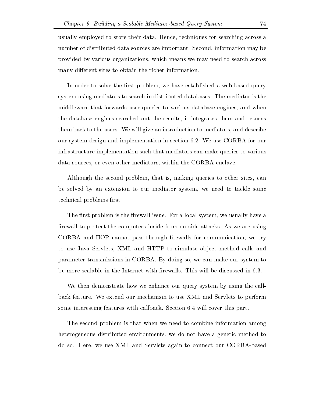usually employed to store their data. Hence, techniques for searching across a number of distributed data sources are important. Second, information may be provided by various organizations which means we may need to search across many different sites to obtain the richer information.

In order to solve the first problem, we have established a web-based query system using mediators to search in distributed databases. The mediator is the middleware that forwards user queries to various database engines and when the database engines searched out the results it integrates them and returns them back to the users We will give an introduction to mediators and describe our system design and implementation in section 6.2. We use CORBA for our infrastructure implementation such that mediators can make queries to various data sources, or even other mediators, within the CORBA enclave.

Although the second problem, that is, making queries to other sites, can be solved by an extension to our mediator system, we need to tackle some technical problems first.

The first problem is the firewall issue. For a local system, we usually have a firewall to protect the computers inside from outside attacks. As we are using CORBA and IIOP cannot pass through firewalls for communication, we try to use Java Servlets, XML and HTTP to simulate object method calls and parameter transmissions in CORBA. By doing so, we can make our system to be more scalable in the Internet with firewalls. This will be discussed in 6.3.

We then demonstrate how we enhance our query system by using the callback feature We extend our mechanism to useXML and Servlets to perform some interesting features with callback. Section 6.4 will cover this part.

The second problem is that when we need to combine information among heterogeneous distributed environments, we do not have a generic method to do so. Here, we use XML and Servlets again to connect our CORBA-based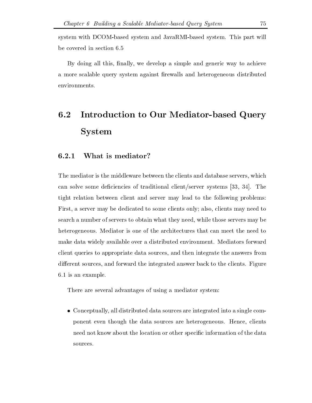system with DCOM-based system and JavaRMI-based system. This part will be covered in section 6.5

By doing all this, finally, we develop a simple and generic way to achieve a more scalable query system against firewalls and heterogeneous distributed environments

## $6.2$ Introduction to Our Mediator-based Query System

### What is mediator

The mediator is the middleware between the clients and database servers, which can solve some deficiencies of traditional client/server systems  $[33, 34]$ . The tight relation between client and server may lead to the following problems First, a server may be dedicated to some clients only; also, clients may need to search a number of servers to obtain what they need, while those servers may be heterogeneous. Mediator is one of the architectures that can meet the need to make data widely available over a distributed environment. Mediators forward client queries to appropriate data sources and then integrate the answers from different sources, and forward the integrated answer back to the clients. Figure  $6.1$  is an example.

There are several advantages of using a mediator system

 $\bullet$  Conceptually, all distributed data sources are integrated into a single component even though the data sources are heterogeneous. Hence, clients need not know about the location or other specific information of the data sources.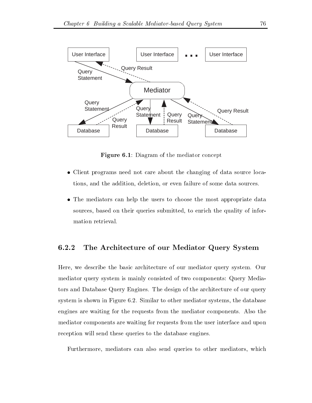

Figure 6.1: Diagram of the mediator concept

- $\bullet$  Client programs need not care about the changing of data source locations, and the addition, deletion, or even failure of some data sources.
- $\bullet$  The mediators can help the users to choose the most appropriate data sources, based on their queries submitted, to enrich the quality of information retrieval

#### 6.2.2 The Architecture of our Mediator Query System

Here, we describe the basic architecture of our mediator query system. Our mediator query system is mainly consisted of two components: Query Mediators and Database Query Engines The design of the architecture of our query system is shown in Figure  $6.2$ . Similar to other mediator systems, the database engines are waiting for the requests from the mediator components Also the mediator components are waiting for requests from the user interface and upon reception will send these queries to the database engines

Furthermore, mediators can also send queries to other mediators, which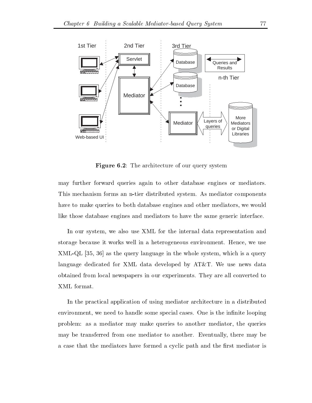

Figure - The architecture of our query system

may further forward queries again to other database engines or mediators This mechanism forms an n-tier distributed system. As mediator components have to make queries to both database engines and other mediators, we would like those database engines and mediators to have the same generic interface

In our system, we also use XML for the internal data representation and storage because it works well in a heterogeneous environment. Hence, we use  $XML-QL$  [35, 36] as the query language in the whole system, which is a query language dedicated for XML data developed by  $AT\&T$ . We use news data obtained from local newspapers in our experiments They are all converted to XML format

In the practical application of using mediator architecture in a distributed environment, we need to handle some special cases. One is the infinite looping problem: as a mediator may make queries to another mediator, the queries may be transferred from one mediator to another. Eventually, there may be a case that the mediators have formed a cyclic path and the first mediator is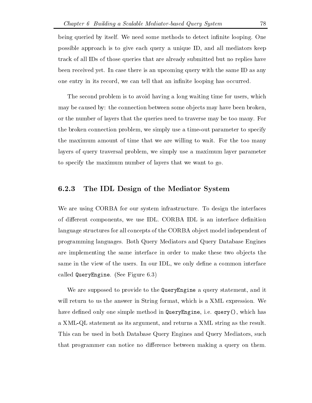being queried by itself. We need some methods to detect infinite looping. One possible approach is to give each query a unique ID, and all mediators keep track of all IDs of those queries that are already submitted but no replies have been received yet In case there is an upcoming query with the same ID as any one entry in its record, we can tell that an infinite looping has occurred.

The second problem is to avoid having a long waiting time for users, which may be caused by: the connection between some objects may have been broken, or the number of layers that the queries need to traverse may be too many For the broken connection problem, we simply use a time-out parameter to specify the maximum amount of time that we are willing to wait For the too many layers of query traversal problem, we simply use a maximum layer parameter to specify the maximum number of layers that we want to go

### The IDL Design of the Mediator System

We are using CORBA for our system infrastructure. To design the interfaces of different components, we use IDL. CORBA IDL is an interface definition language structures for all concepts of the CORBA ob ject model independent of programming languages Both Query Mediators and Query Database Engines are implementing the same interface in order to make these two objects the same in the view of the users. In our IDL, we only define a common interface called QueryEngine - Engine - Engine - Engine - Engine - Engine - Engine - Engine - Engine - Engine - Engine -

We are supposed to provide to the QueryEngine a query statement, and it will return to us the answer in String format, which is a XML expression. We have defined only one simple method in QueryEngine, i.e. query (), which has a XML-QL statement as its argument, and returns a XML string as the result. This can be used in both Database Query Engines and Query Mediators such that programmer can notice no difference between making a query on them.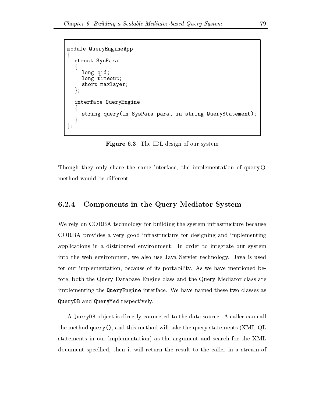```
module QueryEngineApp
\{struct SysPara
  f
    long qid
    long timeout;
    short maxlayer
  \};
  interface QueryEngine
  f
     string query in string parallely and the string query statement in the string \sim\};
\};
```
**Figure 6.3**: The IDL design of our system

Though they only share the same interface, the implementation of query() method would be different.

### Components in the Query Mediator System

We rely on CORBA technology for building the system infrastructure because CORBA provides a very good infrastructure for designing and implementing applications in a distributed environment. In order to integrate our system into the web environment, we also use Java Servlet technology. Java is used for our implementation, because of its portability. As we have mentioned before, both the Query Database Engine class and the Query Mediator class are implementing the QueryEngine interface We have named these two classes as QueryDB and QueryMed respectively

A QueryDB ob ject is directly connected to the data source A caller can call the method query  $\chi$  and the method will take the state the query statements  $\chi$  and  $\chi$ statements in our implementation) as the argument and search for the XML document specified, then it will return the result to the caller in a stream of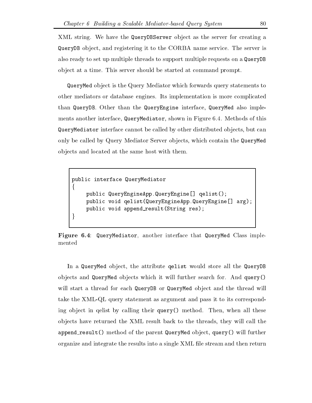XML string. We have the QueryDBServer object as the server for creating a QueryDB ob ject and registering it to the CORBA name service The server is also ready to set up multiple threads to support multiple requests on a QueryDB object at a time. This server should be started at command prompt.

QueryMed ob ject is the Query Mediator which forwards query statements to other mediators or database engines Its implementation is more complicated than QueryDB. Other than the QueryEngine interface, QueryMed also implements another interface, QueryMediator, shown in Figure 6.4. Methods of this QueryMediator interface cannot be called by other distributed objects, but can only be called by Query Mediator Server ob jects which contain the QueryMed objects and located at the same host with them.

```
public interface QueryMediator
f
    public QueryEngineApp.QueryEngine[] qelist();
    public void qelist(QueryEngineApp.QueryEngine[] arg);
    public void append result (String res);\}
```
Figure 6.4: QueryMediator, another interface that QueryMed Class implemented

In a QueryMed object, the attribute qelist would store all the QueryDB objects and QueryMed objects which it will further search for. And query() will start a thread for each QueryDB or QueryMed object and the thread will take the XML-QL query statement as argument and pass it to its corresponding object in qelist by calling their query () method. Then, when all these objects have returned the XML result back to the threads, they will call the append\_result () method of the parent QueryMed object, query () will further organize and integrate the results into a single XML file stream and then return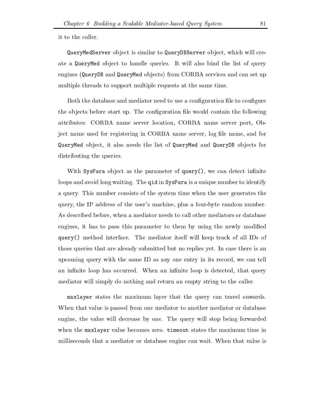it to the caller

QueryMedServer ob ject is similar to QueryDBServer ob ject which will cre ate a QueryMed object to handle queries. It will also bind the list of query engines -QueryDB and QueryMed ob jects from CORBA services and can set up multiple threads to support multiple requests at the same time

Both the database and mediator need to use a configuration file to configure the objects before start up. The configuration file would contain the following attributes: CORBA name server location, CORBA name server port, Object name used for registering in CORBA name server, log file name, and for QueryMed object, it also needs the list of QueryMed and QueryDB objects for distributing the queries.

With SysPara object as the parameter of  $query()$ , we can detect infinite loops and avoid long waiting. The qid in SysPara is a unique number to identify a query This number consists of the system time when the user generates the query the IP address of the user s machine plus a fourbyte random number As described before, when a mediator needs to call other mediators or database engines, it has to pass this parameter to them by using the newly modified  $query()$  method interface. The mediator itself will keep track of all IDs of those queries that are already submitted but no replies yet In case there is an upcoming query with the same ID as any one entry in its record, we can tell an infinite loop has occurred. When an infinite loop is detected, that query mediator will simply do nothing and return an empty string to the caller

maxlayer states the maximum layer that the query can travel onwards When that value is passed from one mediator to another mediator or database engine, the value will decrease by one. The query will stop being forwarded when the maxlayer value becomes zero. timeout states the maximum time in milliseconds that a mediator or database engine can wait When that value is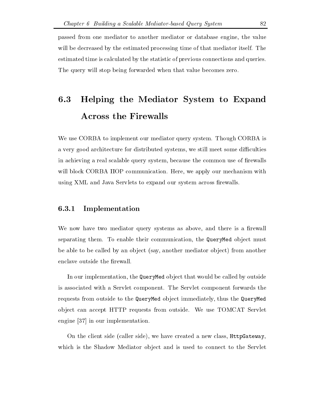passed from one mediator to another mediator or database engine, the value will be decreased by the estimated processing time of that mediator itself. The estimated time is calculated by the statistic of previous connections and queries The query will stop being forwarded when that value becomes zero.

## Helping the Mediator System to Expand 6.3 Across the Firewalls

We use CORBA to implement our mediator query system. Though CORBA is a very good architecture for distributed systems, we still meet some difficulties in achieving a real scalable query system, because the common use of firewalls will block CORBA IIOP communication. Here, we apply our mechanism with using XML and Java Servlets to expand our system across firewalls.

### Implementation

We now have two mediator query systems as above, and there is a firewall separating them. To enable their communication, the QueryMed object must be able to be called by an ob ject -say another mediator ob ject from another enclave outside the firewall.

In our implementation, the QueryMed object that would be called by outside is associated with a Servlet component The Servlet component forwards the requests from outside to the QueryMed object immediately, thus the QueryMed object can accept HTTP requests from outside. We use TOMCAT Servlet engine  $[37]$  in our implementation.

On the client side -caller side we have created a new class HttpGateway which is the Shadow Mediator object and is used to connect to the Servlet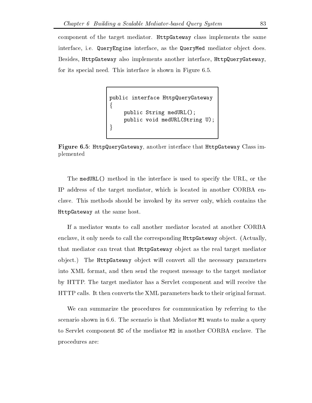component of the target mediator. HttpGateway class implements the same interface, i.e. QueryEngine interface, as the QueryMed mediator object does. Besides, HttpGateway also implements another interface, HttpQueryGateway, for its special need. This interface is shown in Figure 6.5.

```
public interface HttpQueryGateway
f
   public String medURL
   public void medURLString U
\}
```
Figure 6.5: HttpQueryGateway, another interface that HttpGateway Class implemented

The medURL() method in the interface is used to specify the URL, or the IP address of the target mediator, which is located in another CORBA enclave This methods should be invoked by its server only which contains the HttpGateway at the same host

If a mediator wants to call another mediator located at another CORBA enclave it only needs to call the corresponding HttpGateway ob ject -Actually that mediator can treat that HttpGateway ob ject as the real target mediator object.) The HttpGateway object will convert all the necessary parameters into XML format, and then send the request message to the target mediator by HTTP. The target mediator has a Servlet component and will receive the HTTP calls. It then converts the XML parameters back to their original format.

We can summarize the procedures for communication by referring to the scenario shown in  $6.6$ . The scenario is that Mediator  $M1$  wants to make a query to Servlet component SC of the mediator M2 in another CORBA enclave. The procedures are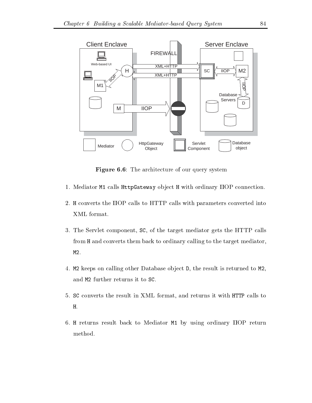

Figure 6.6: The architecture of our query system

- 1. Mediator M1 calls HttpGateway object H with ordinary IIOP connection.
- 2. H converts the IIOP calls to HTTP calls with parameters converted into XML format
- 3. The Servlet component, SC, of the target mediator gets the HTTP calls from H and converts them back to ordinary calling to the target mediator M<sub>2</sub>.
- 4. M2 keeps on calling other Database object D, the result is returned to M2,<br>and M2 further returns it to SC.
- SC converts the result in XML format and returns it with HTTP calls to H.
- 6. H returns result back to Mediator M1 by using ordinary IIOP return method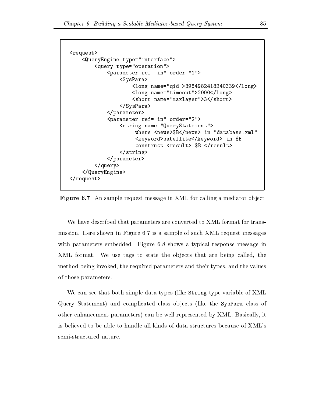```
request-
         interface-complete the complete the second contract of the contract of the contract of the contract of the contract of the contract of the contract of the contract of the contract of the contract of the contract of the con
                  query type
operation-
                            parameter references in order references and the contract of the contract of the contract of the contract of the contract of the contract of the contract of the contract of the contract of the contract of the contract of t
                                     SysPara-
                                              long name
qid-
long-
                                              long name
timeout-
long-
                                              short- name is not always a short-
                                     \langleSysPara>
                           \langleparameter>
                            parameter ref
in order
-
                                     string names the statement of the statement of the statement of the statement of the statement of the statement
                                                 where news-definition is a set of the set of the set of the set of the set of the set of the set of the set of
                                                 keyword- in Bank and the satellite statellite and the satellite of the satellite statellite and the same of th
                                                 construct result-
 $B result-
                                     \langlestring>
                           \langleparameter>
                  \langle query>
         </QueryEngine>
\langlerequest>
```
**Figure 6.7**: An sample request message in XML for calling a mediator object

We have described that parameters are converted to XML format for trans mission. Here shown in Figure 6.7 is a sample of such XML request messages with parameters embedded. Figure 6.8 shows a typical response message in XML format. We use tags to state the objects that are being called, the method being invoked, the required parameters and their types, and the values of those parameters

we can see the string that the string types of  $\mathcal{L}_{\mathcal{P}}$  is the string type variable of XMLL and XMLL and Query Statement and complicated class ob jects -like the SysPara class of other enhancement parameters) can be well represented by XML. Basically, it is believed to be able to handle all kinds of data structures because of XML semi-structured nature.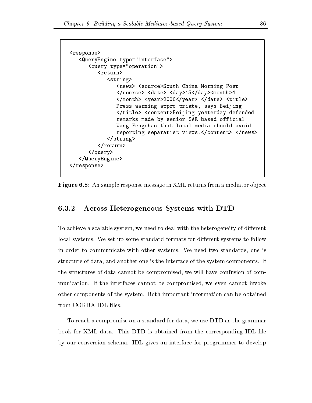```
response-
   interface-type interface-type interface-type interface-type interface-type interface-
       query type
operation-
           <return>
              string-
                  news-
 source-
South China Morning Post
                  source-
 date-
 day-
day-
month-

                  y month-wear-contract title- and the second contract of the second second second second second second second s
                  Press warning appro priate, says Beijing
                  title-
 content-
Beijing yesterday defended
                  remarks made by senior SAR-based official
                  Wang Fengchao that local media should avoid
                  reporting separatist views
content-
 news-
              \langlestring>
           \langlereturn>
       </query>
   </QueryEngine>
\langleresponse>
```
Figure  An sample response message in XML returns from a mediator ob ject

#### 6.3.2 Across Heterogeneous Systems with DTD

To achieve a scalable system, we need to deal with the heterogeneity of different local systems. We set up some standard formats for different systems to follow in order to communicate with other systems. We need two standards, one is structure of data, and another one is the interface of the system components. If the structures of data cannot be compromised, we will have confusion of communication. If the interfaces cannot be compromised, we even cannot invoke other components of the system. Both important information can be obtained from CORBA IDL files.

To reach a compromise on a standard for data, we use DTD as the grammar book for XML data. This DTD is obtained from the corresponding IDL file by our conversion schema IDL gives an interface for programmer to develop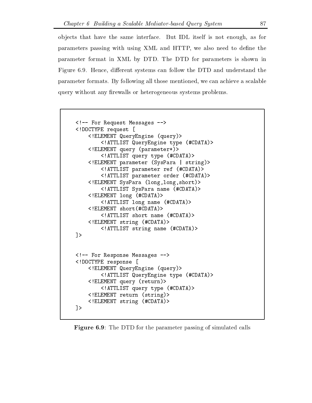ob jects that have the same interface But IDL itself is not enough as for parameters passing with using XML and HTTP, we also need to define the parameter format in XML by DTD The DTD for parameters is shown in Figure 6.9. Hence, different systems can follow the DTD and understand the parameter formats. By following all those mentioned, we can achieve a scalable query without any firewalls or heterogeneous systems problems.

```
\langle - - For Request Messages \langle - \rangle<!DOCTYPE request [
    <! ELEMENT QueryEngine (query)>
         <!ATTLIST QueryEngine type (#CDATA)>
    <! ELEMENT query (parameter*)>
         <!ATTLIST query type (#CDATA)>
    <! ELEMENT parameter (SysPara | string)>
         \leq ATTLIST parameter ref (#CDATA)>
         <! ATTLIST parameter order (#CDATA)>
    <! ELEMENT SysPara (long, long, short)>
         <!ATTLIST SysPara name (#CDATA)>
    \leq! ELEMENT long (#CDATA)>
         <! ATTLIST long name (#CDATA)>
    \leq! ELEMENT short(#CDATA) >
         \leq!ATTLIST short name (\text{\#CDATA})>
    \leq! ELEMENT string (#CDATA)>
         \leq!ATTLIST string name (#CDATA)>
\rightarrow<!-- For Response Messages -->
<!DOCTYPE response [
    <! ELEMENT QueryEngine (query)>
         \leq ATTLIST QueryEngine type (#CDATA)>
    <!ELEMENT query (return)>
         <! ATTLIST query type (#CDATA)>
    \leq! ELEMENT return (suring)\leq! ELEMENT string (#CDATA)>
\exists
```
**Figure 6.9:** The DTD for the parameter passing of simulated calls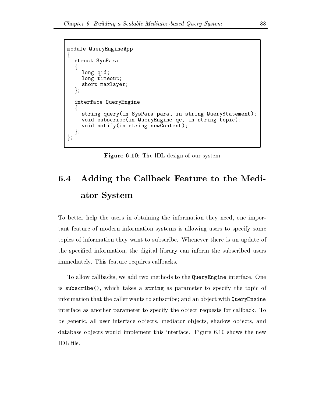```
module QueryEngineApp
\{struct SysPara
  f
    long qid
    long timeout;
    short maxlayer
  \} ;
  interface QueryEngine
  f
    string query(in SysPara para, in string QueryStatement);
    void subscribe(in QueryEngine qe, in string topic);
    void notify(in string newContent);
  };
\};
```
**Figure 6.10**: The IDL design of our system

## 6.4 Adding the Callback Feature to the Mediator System

To better help the users in obtaining the information they need, one important feature of modern information systems is allowing users to specify some topics of information they want to subscribe Whenever there is an update of the specified information, the digital library can inform the subscribed users immediately. This feature requires callbacks.

To allow callbacks, we add two methods to the QueryEngine interface. One is subscribe  $()$ , which takes a string as parameter to specify the topic of information that the caller wants to subscribe; and an object with QueryEngine interface as another parameter to specify the object requests for callback. To be generic, all user interface objects, mediator objects, shadow objects, and database objects would implement this interface. Figure 6.10 shows the new IDL file.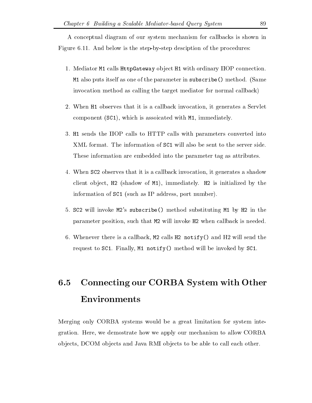A conceptual diagram of our system mechanism for callbacks is shown in Figure 6.11. And below is the step-by-step desciption of the procedures:

- 1. Mediator M1 calls HttpGateway object H1 with ordinary IIOP connection. M also puts itself as one of the parameter in subscribe method -Same invocation method as calling the target mediator for normal callback
- 2. When H observes that it is a callback invocation, it generates a Servlet component (see ), component with M international component medicine), which is a
- 3. H<sub>1</sub> sends the IIOP calls to HTTP calls with parameters converted into XML format. The information of SC1 will also be sent to the server side. These information are embedded into the parameter tag as attributes
- 4. When SC2 observes that it is a callback invocation, it generates a shadow client object, he joint in its initial commentary, instrumentation of the contract of  $\mathcal{L}$ information of SC - SC - Such as International political control of the such as  $\mu$  .
- s subscribe method in a substituting method substituting method substituting  $\mathcal{L}(\mathcal{L})$ parameter position, such that M2 will invoke H2 when callback is needed.
- 6. Whenever there is a callback,  $M2$  calls  $H2$  notify () and  $H2$  will send the request to  $SC1$ . Finally, M1 notify () method will be invoked by  $SC1$ .

## 6.5 Connecting our CORBA System with Other Environments

Merging only CORBA systems would be a great limitation for system inte gration. Here, we demostrate how we apply our mechanism to allow CORBA objects, DCOM objects and Java RMI objects to be able to call each other.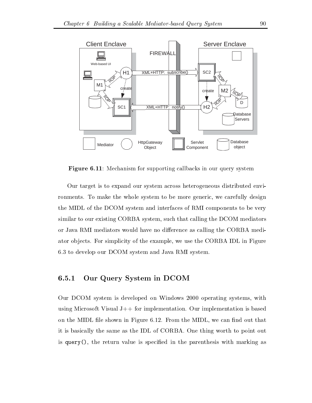

**Figure 6.11**: Mechanism for supporting callbacks in our query system

Our target is to expand our system across heterogeneous distributed envi ronments. To make the whole system to be more generic, we carefully design the MIDL of the DCOM system and interfaces of RMI components to be very similar to our existing CORBA system, such that calling the DCOM mediators or Java RMI mediators would have no difference as calling the CORBA mediator objects. For simplicity of the example, we use the CORBA IDL in Figure 6.3 to develop our DCOM system and Java RMI system.

## Our Query System in DCOM

Our DCOM system is developed on Windows 2000 operating systems, with using Microsoft Visual  $J++$  for implementation. Our implementation is based on the MIDL file shown in Figure 6.12. From the MIDL, we can find out that it is basically the same as the IDL of CORBA One thing worth to point out is query(), the return value is specified in the parenthesis with marking as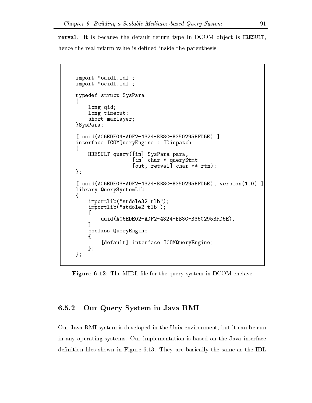retval. It is because the default return type in DCOM object is HRESULT, hence the real return value is defined inside the parenthesis.

```
import oant de beskip in de beskip in de beskip in de beskip in de beskip in de beskip in de beskip in de besk
important contracts are all the contracts of the contracts of the contracts of the contracts of the contracts of the contracts of the contracts of the contracts of the contracts of the contracts of the contracts of the con
typedef struct SysPara
!
      long qid
      long timeout;
      short maxlayer
}SysPara;
[uuid(AC6EDE04-ADF2-4324-BB8C-B350295BFD5E) ]
interface ICOMQueryEngine  IDispatch
\{HRESULT query([in] SysPara para,
                             \lceilin] char * queryStmt
                             [out, retval] char ** rtn);
\};
[ uuid(AC6EDE03-ADF2-4324-BB8C-B350295BFD5E), version(1.0) ]
library QuerySystemLib
\{importlib("stdole32.tlb");
      importlib("stdole2.tlb");
      L
            uuid(AC6EDE02-ADF2-4324-BB8C-B350295BFD5E),
       그는 어떻게 되었다. 이 사람은 어떻게 하지 않아 보이지 않아.
      coclass QueryEngine
      \mathfrak{t}[default] interface ICOMQueryEngine;
      };
};
```
 $\blacksquare$  . The MIDL let for the MIDL let for the middle system in DCOM enclaves system in DCOM enclaves system in DCOM enclaves

### Our Query System in Java RMI

Our Java RMI system is developed in the Unix environment, but it can be run in any operating systems. Our implementation is based on the Java interface definition files shown in Figure 6.13. They are basically the same as the IDL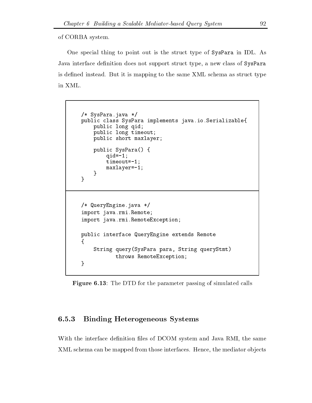of CORBA system

One special thing to point out is the struct type of SysPara in IDL As Java interface definition does not support struct type, a new class of SysPara is defined instead. But it is mapping to the same XML schema as struct type in XML

```
/* SysPara.java */
public class SysPara implements java.io. Serializable{
      public long qid
      public long timeout;
      public short maxlayer
      public SysPara() {
              quality of the contract of the contract of the contract of the contract of the contract of the contract of the
              time of the contract of the contract of the contract of the contract of the contract of the contract of the con
              maximum are a series of the series of the series of the series of the series of the series of the series of the
       "
\mathcal{F}/* QueryEngine.java */
import java.rmi. Remote;
import java.rmi. Remote Exception;
public interface QueryEngine extends Remote
\mathcal{L}!
      String query (SysPara para, String queryStmt)
                  throws RemoteException
"
```
**Figure 6.13**: The DTD for the parameter passing of simulated calls

## Binding Heterogeneous Systems

With the interface definition files of DCOM system and Java RMI, the same XML schema can be mapped from those interfaces. Hence, the mediator objects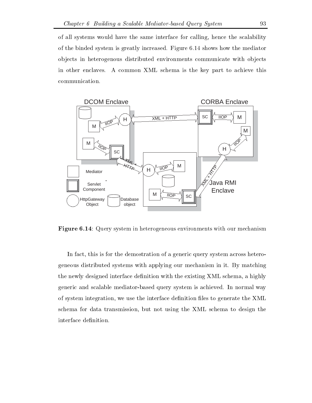of all systems would have the same interface for calling hence the scalability of the binded system is greatly increased. Figure  $6.14$  shows how the mediator ob jects in heterogenous distributed environments communicate with ob jects in other enclaves. A common XML schema is the key part to achieve this communication



**Figure 6.14:** Query system in heterogeneous environments with our mechanism

In fact, this is for the demostration of a generic query system across heterogeneous distributed systems with applying our mechanism in it By matching the newly designed interface definition with the existing XML schema, a highly generic and scalable mediator-based query system is achieved. In normal way of system integration, we use the interface definition files to generate the XML schema for data transmission but not using the XML schema to design the interface definition.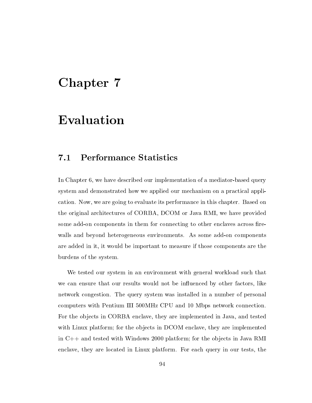## Chapter 7

## Evaluation

#### 7.1 Performance Statistics

In Chapter 6, we have described our implementation of a mediator-based query system and demonstrated how we applied our mechanism on a practical appli cation. Now, we are going to evaluate its performance in this chapter. Based on the original architectures of CORBA, DCOM or Java RMI, we have provided some add-on components in them for connecting to other enclaves across firewalls and beyond heterogeneous environments. As some add-on components are added in it, it would be important to measure if those components are the burdens of the system

We tested our system in an environment with general workload such that we can ensure that our results would not be influenced by other factors, like network congestion. The query system was installed in a number of personal computers with Pentium III 500MHz CPU and 10 Mbps network connection. For the objects in CORBA enclave, they are implemented in Java, and tested with Linux platform; for the objects in DCOM enclave, they are implemented in  $C_{++}$  and tested with Windows 2000 platform; for the objects in Java RMI enclave, they are located in Linux platform. For each query in our tests, the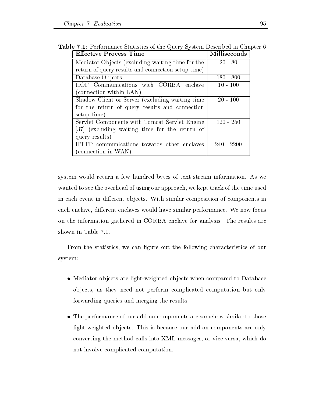| <b>Effective Process Time</b>                      | Milliseconds |  |
|----------------------------------------------------|--------------|--|
| Mediator Objects (excluding waiting time for the   | $20 - 80$    |  |
| return of query results and connection setup time) |              |  |
| Database Objects                                   | $180 - 800$  |  |
| Communications with CORBA enclave<br>ПОР           | $10 - 100$   |  |
| (connection within LAN)                            |              |  |
| Shadow Client or Server (excluding waiting time    | $20 - 100$   |  |
| for the return of query results and connection     |              |  |
| setup time)                                        |              |  |
| Servlet Components with Tomcat Servlet Engine      | $120 - 250$  |  |
| [37] (excluding waiting time for the return of     |              |  |
| query results)                                     |              |  |
| HTTP communications towards other enclaves         | $240 - 2200$ |  |
| (connection in WAN)                                |              |  |

**Table 7.1**: Performance Statistics of the Query System Described in Chapter 6

system would return a few hundred bytes of text stream information. As we wanted to see the overhead of using our approach we kept track of the time used in each event in different objects. With similar composition of components in each enclave, different enclaves would have similar performance. We now focus on the information gathered in CORBA enclave for analysis The results are shown in Table 7.1.

From the statistics, we can figure out the following characteristics of our system

- $\bullet$  Mediator objects are light-weighted objects when compared to Database ob jects as they need not perform complicated computation but only forwarding queries and merging the results
- $\bullet$  The performance of our add-on components are somehow similar to those light-weighted objects. This is because our add-on components are only converting the method calls into XML messages, or vice versa, which do not involve complicated computation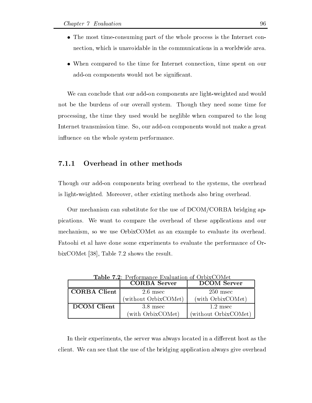- $\bullet$  lne most time-consuming part of the whole process is the Internet connection, which is unavoidable in the communications in a worldwide area.
- $\bullet$  When compared to the time for Internet connection, time spent on our add-on components would not be significant.

We can conclude that our add-on components are light-weighted and would not be the burdens of our overall system. Though they need some time for processing the time they used would be neglible when compared to the long Internet transmission time. So, our add-on components would not make a great influence on the whole system performance.

Though our add-on components bring overhead to the systems, the overhead is light-weighted. Moreover, other existing methods also bring overhead.

Our mechanism can substitute for the use of  $DCOM/CORBA$  bridging appications We want to compare the overhead of these applications and our mechanism, so we use OrbixCOMet as an example to evaluate its overhead. Fatoohi et al have done some experiments to evaluate the performance of Or bixCOMet  $[38]$ , Table 7.2 shows the result.

|                     | <b>CORBA</b> Server  | <b>DCOM</b> Server   |
|---------------------|----------------------|----------------------|
| <b>CORBA Client</b> | $2.6$ msec           | $250$ msec           |
|                     | (without OrbixCOMet) | (with OrbixCOMet)    |
| <b>DCOM</b> Client  | $3.8$ msec           | $1.2$ msec           |
|                     | (with OrbixCOMet)    | (without OrbixCOMet) |

In their experiments, the server was always located in a different host as the client We can see that the use of the bridging application always give overhead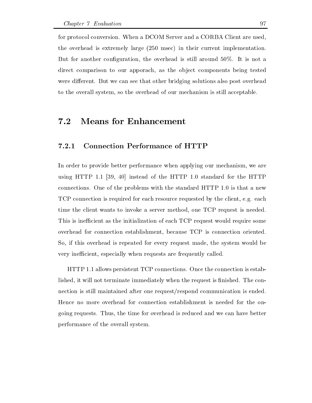for protocol conversion. When a DCOM Server and a CORBA Client are used,  $\mathcal{L}$  is extremely large -  $\mathcal{L}$  in the interval in the interval in the interval in the interval in But for another configuration, the overhead is still around  $50\%$ . It is not a direct comparison to our apporach, as the object components being tested were different. But we can see that other bridging solutions also post overhead to the overall system, so the overhead of our mechanism is still acceptable.

## 7.2 Means for Enhancement

### Connection Performance of HTTP

In order to provide better performance when applying our mechanism, we are using HTTP 1.1  $[39, 40]$  instead of the HTTP 1.0 standard for the HTTP connections. One of the problems with the standard  $HTTP$  1.0 is that a new TCP connection is required for each resource requested by the client, e.g. each time the client wants to invoke a server method, one TCP request is needed. This is inefficient as the initialization of each TCP request would require some overhead for connection establishment, because TCP is connection oriented. So, if this overhead is repeated for every request made, the system would be very inefficient, especially when requests are frequently called.

HTTP 1.1 allows persistent TCP connections. Once the connection is established, it will not terminate immediately when the request is finished. The connection is still maintained after one request/respond communication is ended. Hence no more overhead for connection establishment is needed for the on going requests. Thus, the time for overhead is reduced and we can have better performance of the overall system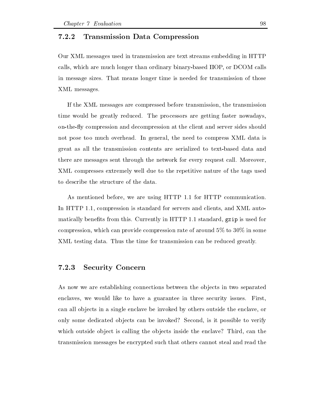#### $7.2.2$ Transmission Data Compression

Our XML messages used in transmission are text streams embedding in HTTP calls, which are much longer than ordinary binary-based IIOP, or DCOM calls in message sizes That means longer time is needed for transmission of those XML messages

If the XML messages are compressed before transmission the transmission time would be greatly reduced. The processors are getting faster nowadays, on-the-fly compression and decompression at the client and server sides should not pose too much overhead. In general, the need to compress XML data is great as all the transmission contents are serialized to text-based data and there are messages sent through the network for every request call. Moreover, XML compresses extremely well due to the repetitive nature of the tags used to describe the structure of the data

As mentioned before, we are using HTTP 1.1 for HTTP communication. In HTTP 1.1, compression is standard for servers and clients, and XML automatically benefits from this. Currently in  $HTTP$  1.1 standard, gzip is used for compression, which can provide compression rate of around  $5\%$  to  $30\%$  in some XML testing data. Thus the time for transmission can be reduced greatly.

#### Security Concern

As now we are establishing connections between the ob jects in two separated enclaves, we would like to have a guarantee in three security issues. First, can all objects in a single enclave be invoked by others outside the enclave, or only some dedicated objects can be invoked? Second, is it possible to verify which outside object is calling the objects inside the enclave? Third, can the transmission messages be encrypted such that others cannot steal and read the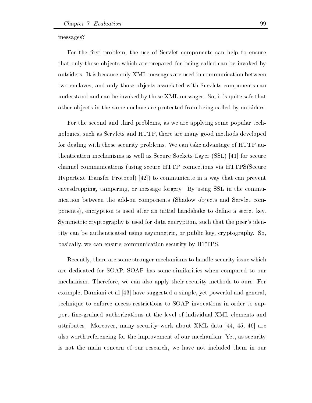messages?

For the first problem, the use of Servlet components can help to ensure that only those objects which are prepared for being called can be invoked by outsiders It is because only XML messages are used in communication between two enclaves, and only those objects associated with Servlets components can understand and can be invoked by those XML messages. So, it is quite safe that other ob jects in the same enclave are protected from being called by outsiders

For the second and third problems, as we are applying some popular technologies, such as Servlets and HTTP, there are many good methods developed for dealing with those security problems We can take advantage of HTTP au the secure Society as Secure Society as Secure Society as Secure Society as Secure Society and Society and Society and Society and Society and Society and Society and Society and Society and Society and Society and Society  $\mathcal{U}$ Hypertext Transfer Protocol  $\vert 42 \vert$  to communicate in a way that can prevent eavesdropping, tampering, or message forgery. By using SSL in the communication between the addon components (Service components and Service components and Service components and S ponents), encryption is used after an initial handshake to define a secret key. Symmetric cryptography is used for data encryption such that the peer s iden tity can be authenticated using asymmetric, or public key, cryptography. So. basically, we can ensure communication security by HTTPS.

Recently, there are some stronger mechanisms to handle security issue which are dedicated for SOAP. SOAP has some similarities when compared to our mechanism. Therefore, we can also apply their security methods to ours. For example, Damiani et al  $[43]$  have suggested a simple, yet powerful and general, technique to enforce access restrictions to SOAP invocations in order to sup port fine-grained authorizations at the level of individual XML elements and attributes. Moreover, many security work about XML data  $[44, 45, 46]$  are also worth referencing for the improvement of our mechanism. Yet, as security is not the main concern of our research we have not included them in our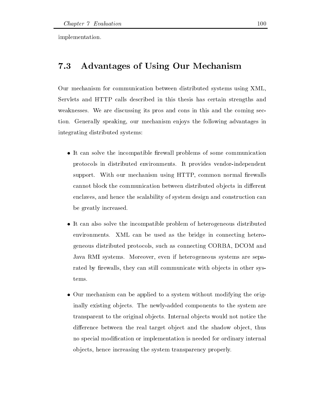implementation

#### 7.3 Advantages of Using Our Mechanism

Our mechanism for communication between distributed systems using XML Servlets and HTTP calls described in this thesis has certain strengths and weaknesses. We are discussing its pros and cons in this and the coming section. Generally speaking, our mechanism enjoys the following advantages in integrating distributed systems

- $\bullet$  It can solve the incompatible firewall problems of some communication protocols in distributed environments. It provides vendor-independent support. With our mechanism using HTTP, common normal firewalls cannot block the communication between distributed objects in different enclaves and hence the scalability of system design and construction can be greatly increased
- $\bullet$  It can also solve the incompatible problem of heterogeneous distributed environments. XML can be used as the bridge in connecting heterogeneous distributed protocols such as connecting CORBA DCOM and Java RMI systems. Moreover, even if heterogeneous systems are separated by firewalls, they can still communicate with objects in other systems
- $\bullet$  Our mechanism can be applied to a system without modifying the originally existing objects. The newly-added components to the system are transparent to the original ob jects Internal ob jects would not notice the difference between the real target object and the shadow object, thus no special modication or implementation is needed for ordinary internal ob jects hence increasing the system transparency properly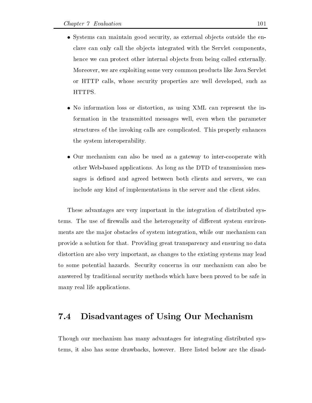- $\bullet$  Systems can maintain good security, as external objects outside the enclave can only call the objects integrated with the Servlet components, hence we can protect other internal objects from being called externally. Moreover we are exploiting some very common products like Java Servlet or HTTP calls, whose security properties are well developed, such as HTTPS
- $\bullet$  No information loss or distortion, as using XML can represent the information in the transmitted messages well, even when the parameter structures of the invoking calls are complicated. This properly enhances the system interoperability
- $\bullet$  Our mechanism can also be used as a gateway to inter-cooperate with other Web-based applications. As long as the DTD of transmission messages is defined and agreed between both clients and servers, we can include any kind of implementations in the server and the client sides

These advantages are very important in the integration of distributed sys tems. The use of firewalls and the heterogeneity of different system environments are the major obstacles of system integration, while our mechanism can provide a solution for that Providing great transparency and ensuring no data distortion are also very important, as changes to the existing systems may lead to some potential hazards. Security concerns in our mechanism can also be answered by traditional security methods which have been proved to be safe in many real life applications

### Disadvantages of Using Our Mechanism

Though our mechanism has many advantages for integrating distributed sys tems, it also has some drawbacks, however. Here listed below are the disad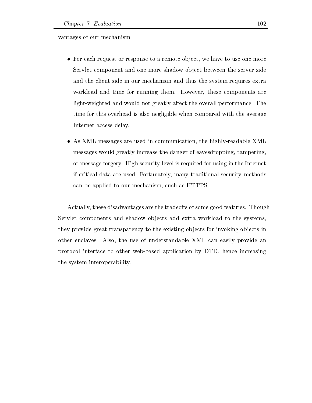vantages of our mechanism

- $\bullet\,$  ror each request or response to a remote object, we have to use one more Servlet component and one more shadow object between the server side and the client side in our mechanism and thus the system requires extra workload and time for running them. However, these components are light-weighted and would not greatly affect the overall performance. The time for this overhead is also negligible when compared with the average Internet access delay
- $\bullet$  As AML messages are used in communication, the highly-readable AML messages would greatly increase the danger of eavesdropping tampering or message forgery High security level is required for using in the Internet if critical data are used. Fortunately, many traditional security methods can be applied to our mechanism, such as HTTPS.

Actually, these disadvantages are the tradeoffs of some good features. Though Servlet components and shadow objects add extra workload to the systems, they provide great transparency to the existing objects for invoking objects in other enclaves. Also, the use of understandable XML can easily provide an protocol interface to other web-based application by DTD, hence increasing the system interoperability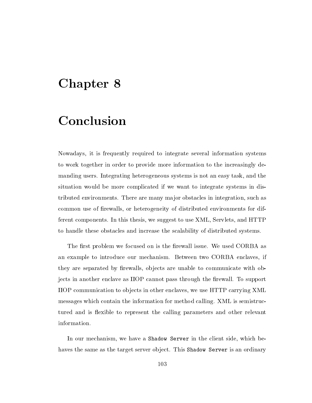## Chapter 8

## Conclusion

Nowadays, it is frequently required to integrate several information systems to work together in order to provide more information to the increasingly de manding users. Integrating heterogeneous systems is not an easy task, and the situation would be more complicated if we want to integrate systems in dis tributed environments. There are many major obstacles in integration, such as common use of firewalls, or heterogeneity of distributed environments for different components. In this thesis, we suggest to use XML, Servlets, and HTTP to handle these obstacles and increase the scalability of distributed systems

The first problem we focused on is the firewall issue. We used CORBA as an example to introduce our mechanism. Between two CORBA enclaves, if they are separated by firewalls, objects are unable to communicate with objects in another enclave as IIOP cannot pass through the firewall. To support IIOP communication to objects in other enclaves, we use HTTP carrying XML messages which contain the information for method calling. XML is semistructured and is flexible to represent the calling parameters and other relevant information

In our mechanism, we have a Shadow Server in the client side, which behaves the same as the target server object. This Shadow Server is an ordinary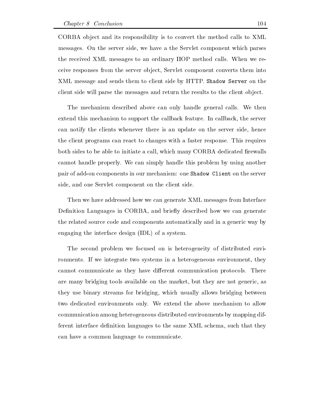CORBA object and its responsibility is to convert the method calls to XML messages. On the server side, we have a the Servlet component which parses the received XML messages to an ordinary IIOP method calls When we re ceive responses from the server ob ject Servlet component converts them into XML message and sends them to client side by HTTP. Shadow Server on the client side will parse the messages and return the results to the client object.

The mechanism described above can only handle general calls. We then extend this mechanism to support the callback feature In callback the server can notify the clients whenever there is an update on the server side, hence the client programs can react to changes with a faster response. This requires both sides to be able to initiate a call, which many CORBA dedicated firewalls cannot handle properly. We can simply handle this problem by using another pair of add-on components in our mechanism: one Shadow Client on the server side, and one Servlet component on the client side.

Then we have addressed how we can generate XML messages from Interface Definition Languages in CORBA, and briefly described how we can generate the related source code and components automatically and in a generic way by engaging the interface design -IDL of a system

The second problem we focused on is heterogeneity of distributed environments. If we integrate two systems in a heterogeneous environment, they cannot communicate as they have different communication protocols. There are many bridging tools available on the market, but they are not generic, as they use binary streams for bridging which usually allows bridging between two dedicated environments only. We extend the above mechanism to allow communication among heterogeneous distributed environments by mapping dif ferent interface definition languages to the same XML schema, such that they can have a common language to communicate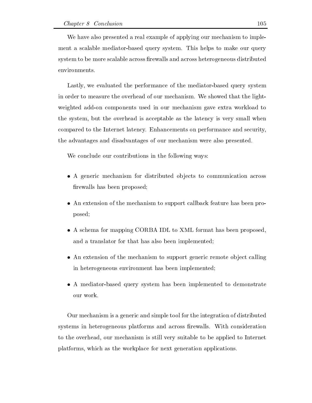We have also presented a real example of applying our mechanism to imple ment a scalable mediator-based query system. This helps to make our query system to be more scalable across firewalls and across heterogeneous distributed environments

Lastly, we evaluated the performance of the mediator-based query system in order to measure the overhead of our mechanism. We showed that the lightweighted add-on components used in our mechanism gave extra workload to the system, but the overhead is acceptable as the latency is very small when compared to the Internet latency Enhancements on performance and security the advantages and disadvantages of our mechanism were also presented

We conclude our contributions in the following ways:

- $\bullet$  A generic mechanism for distributed objects to communication across firewalls has been proposed;
- $\bullet$  An extension of the mechanism to support callback feature has been proposed
- $\bullet$  A schema for mapping CORBA IDL to XML format has been proposed, and a translator for that has also been implemented
- $\bullet$  An extension of the mechanism to support generic remote object calling in heterogeneous environment has been implemented
- $\bullet$  A mediator-based query system has been implemented to demonstrate

Our mechanism is a generic and simple tool for the integration of distributed systems in heterogeneous platforms and across firewalls. With consideration to the overhead, our mechanism is still very suitable to be applied to Internet platforms, which as the workplace for next generation applications.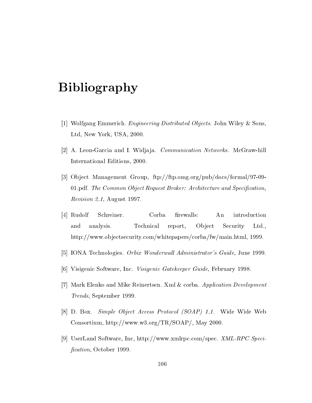# Bibliography

- [1] Wolfgang Emmerich. *Engineering Distributed Objects*. John Wiley & Sons, Ltd, New York, USA, 2000.
- $[2]$  A. Leon-Garcia and I. Widjaja. *Communication Networks*. McGraw-hill International Editions, 2000.
- [3] Object Management Group,  $ftp://ftp.omg.org/public/docs/formal/97-09-$ 01.pdf. The Common Object Request Broker: Architecture and Specification, <u>avec explored the second of the second second and the second second second and second second second second second second second second second second second second second second second second second second second second se</u>
- [4] Rudolf Schreiner. Corba firewalls: An introduction and analysis. Technical report, Object Security Ltd., http://www.objectsecurity.com/whitepapers/corba/fw/main.html, 1999.
- [5] IONA Technologies. *Orbix Wonderwall Administrator's Guide*, June 1999.
- [6] Visigenic Software, Inc. Visigenic Gatekeeper Guide, February 1998.
- [7] Mark Elenko and Mike Reinertsen. Xml & corba. Application Development Trends, September 1999.
- [8] D. Box. Simple Object Access Protocol (SOAP) 1.1. Wide Wide Web Consortium,  $\frac{http://www.w3.org/TR/SOAP/}{http://www.w3.org/TR/SOAP/}$ , May 2000.
- [9] UserLand Software, Inc, http://www.xmlrpc.com/spec.  $XML-RPC Speci$ *fication*, October 1999.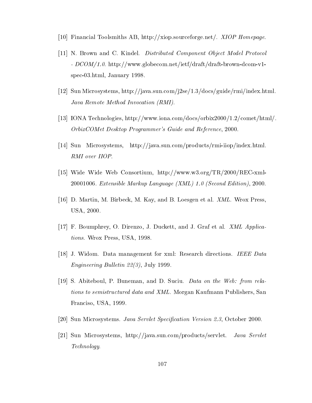- [10] Financial Toolsmiths AB, http://xiop.sourceforge.net/.  $XIOP$  Homepage.
- [11] N. Brown and C. Kindel. Distributed Component Object Model Protocol -  $DCOM/1.0$ . http://www.globecom.net/ietf/draft/draft-brown-dcom-v1spec-03.html, January 1998.
- [12] Sun Microsystems, http://java.sun.com/j2se/1.3/docs/guide/rmi/index.html. Java Remote Method Invocation (RMI).
- [13] IONA Technologies, http://www.iona.com/docs/orbix2000/1.2/comet/html/.  $OrbixCOMet$  Desktop Programmer's Guide and Reference, 2000.
- [14] Sun Microsystems, http://java.sun.com/products/rmi-iiop/index.html. RMI over IIOP
- [15] Wide Wide Web Consortium, http://www.w3.org/TR/2000/REC-xml-20001006. Extensible Markup Language  $(XML)$  1.0 (Second Edition), 2000.
- [16] D. Martin, M. Birbeck, M. Kay, and B. Loesgen et al. *XML*. Wrox Press. USA, 2000.
- [17] F. Boumphrey, O. Direnzo, J. Duckett, and J. Graf et al. *XML Applica*tions. Wrox Press, USA, 1998.
- [18] J. Widom. Data management for xml: Research directions. IEEE Data Engineering Bul letin -- July
- [19] S. Abiteboul, P. Buneman, and D. Suciu. *Data on the Web: from rela*tions to semistructured data and XML. Morgan Kaufmann Publishers, San Franciso, USA, 1999.
- Sun Microsystems Java Servlet Specication Version -October
- [21] Sun Microsystems, http://java.sun.com/products/servlet. Java Servlet Technology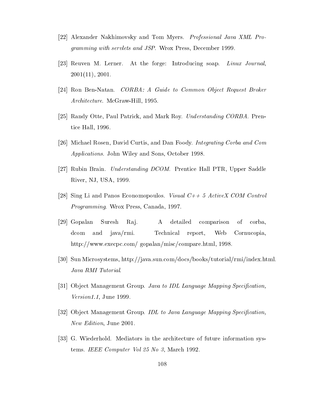- [22] Alexander Nakhimovsky and Tom Myers. *Professional Java XML Pro*gramming with servlets and JSP. Wrox Press, December 1999.
- [23] Reuven M. Lerner. At the forge: Introducing soap. Linux Journal, 
-
- [24] Ron Ben-Natan. *CORBA: A Guide to Common Object Request Broker* Architecture. McGraw-Hill, 1995.
- $|25|$  Randy Otte, Paul Patrick, and Mark Roy. *Understanding CORBA*. Prentice Hall, 1996.
- [26] Michael Rosen, David Curtis, and Dan Foody. Integrating Corba and Com Applications. John Wiley and Sons, October 1998.
- [27] Rubin Brain. *Understanding DCOM*. Prentice Hall PTR, Upper Saddle River, NJ, USA, 1999.
- [28] Sing Li and Panos Economopoulos. Visual  $C++5$  ActiveX COM Control Programming. Wrox Press, Canada, 1997
- [29] Gopalan Suresh Raj. A detailed comparison of corba. dcom and java/rmi. Technical report, Web Cornucopia, http://www.execpc.com/ gopalan/misc/compare.html, 1998.
- $[30]$  Sun Microsystems, http://java.sun.com/docs/books/tutorial/rmi/index.html. Java RMI Tutorial
- [31] Object Management Group. Java to IDL Language Mapping Specification.  $Version1.1, June 1999.$
- [32] Object Management Group. IDL to Java Language Mapping Specification, New Edition, June 2001.
- [33] G. Wiederhold. Mediators in the architecture of future information systems IEEE Computer Vol - IEEE Computer Vol - IEEE Computer Vol - IEEE Computer Vol - IEEE Computer Vol - IEEE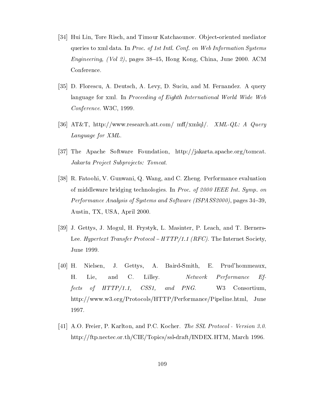- [34] Hui Lin, Tore Risch, and Timour Katchaounov. Object-oriented mediator queries to xml data. In *Proc.* of 1st Intl. Conf. on Web Information Systems  $\blacksquare$  . The contract of  $\blacksquare$  pages of  $\blacksquare$  is the congress of  $\blacksquare$  . The contract of  $\blacksquare$ Conference
- [35] D. Florescu, A. Deutsch, A. Levy, D. Suciu, and M. Fernandez. A query language for xml. In Proceeding of Eighth International World Wide Web  $Conference$ . W3C, 1999.
- [36] AT&T, http://www.research.att.com/ mff/xmlql/. *XML-QL: A Query* Language for XML
- [37] The Apache Software Foundation,  $http://jakarta.apache.org/tomcat.$ Jakarta Project Subprojects: Tomcat.
- [38] R. Fatoohi, V. Gunwani, Q. Wang, and C. Zheng. Performance evaluation of middle ware bridging technologies In Processes In Processes International Company of the sympathy of the sympathy Performance Analysis of Systems and Software ISPASS- pages Austin, TX, USA, April 2000.
- [39] J. Gettys, J. Mogul, H. Frystyk, L. Masinter, P. Leach, and T. Berners-Lee. Hypertext Transfer Protocol –  $HTTP/1.1$  (RFC). The Internet Society, June 1999.
- [40] H. Nielsen, J. Gettys, A. Baird-Smith, E. Prud'hommeaux, H. Lie, and C. Lilley. Network Performance Effects of  $HTTP/1.1$ ,  $CSS1$ , and  $PNG$ . W3 Consortium, http://www.w3.org/Protocols/HTTP/Performance/Pipeline.html, June 1997.
- [41] A.O. Freier, P. Karlton, and P.C. Kocher. The SSL Protocol Version 3.0. http://ftp.nectec.or.th/CIE/Topics/ssl-draft/INDEX.HTM, March 1996.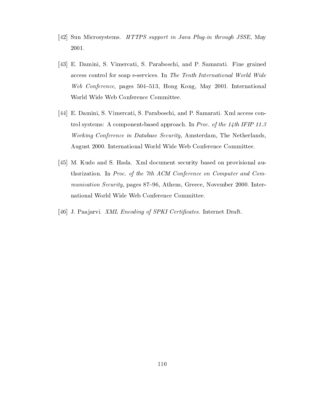- [42] Sun Microsystems. HTTPS support in Java Plug-in through JSSE, May 2001.
- [43] E. Damini, S. Vimercati, S. Paraboschi, and P. Samarati. Fine grained access control for soap e-services. In The Tenth International World Wide Web Conference, pages 504–513, Hong Kong, May 2001. International World Wide Web Conference Committee
- [44] E. Damini, S. Vimercati, S. Paraboschi, and P. Samarati. Xml access control systems: A component-based approach. In *Proc. of the 14th IFIP 11.3* Working Conference in Database Security, Amsterdam, The Netherlands, August 2000. International World Wide Web Conference Committee.
- [45] M. Kudo and S. Hada. Xml document security based on provisional authorization. In Proc. of the 7th ACM Conference on Computer and Communication Security, pages 87-96, Athens, Greece, November 2000. International World Wide Web Conference Committee
- [46] J. Paajarvi. XML Encoding of SPKI Certificates. Internet Draft.